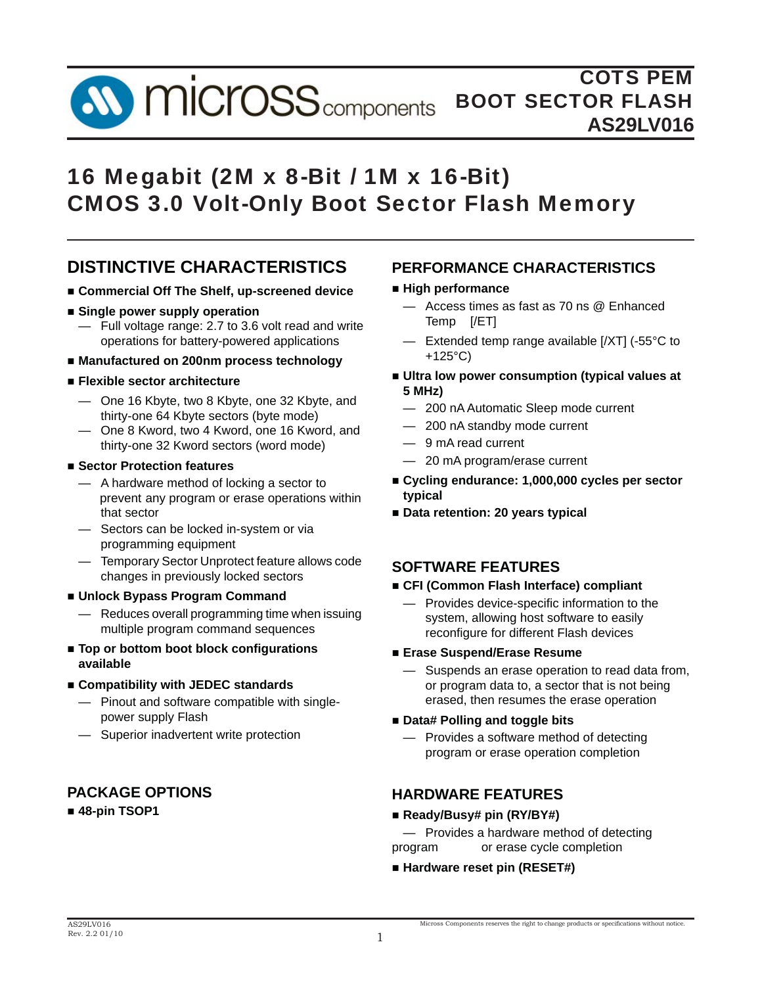**SV MICrOSS** components

# 16 Megabit (2M x 8-Bit / 1M x 16-Bit) CMOS 3.0 Volt-Only Boot Sector Flash Memory

## **DISTINCTIVE CHARACTERISTICS**

- **Commercial Off The Shelf, up-screened device**
- **Single power supply operation**
- Full voltage range: 2.7 to 3.6 volt read and write operations for battery-powered applications
- **Manufactured on 200nm process technology**
- **Flexible sector architecture**
	- One 16 Kbyte, two 8 Kbyte, one 32 Kbyte, and thirty-one 64 Kbyte sectors (byte mode)
	- One 8 Kword, two 4 Kword, one 16 Kword, and thirty-one 32 Kword sectors (word mode)
- **Sector Protection features**
	- A hardware method of locking a sector to prevent any program or erase operations within that sector
	- Sectors can be locked in-system or via programming equipment
	- Temporary Sector Unprotect feature allows code changes in previously locked sectors
- **Unlock Bypass Program Command**
	- Reduces overall programming time when issuing multiple program command sequences
- Top or bottom boot block configurations  **available**
- **Compatibility with JEDEC standards**
	- Pinout and software compatible with single power supply Flash
	- Superior inadvertent write protection

### **PACKAGE OPTIONS**

**48-pin TSOP1**

### **PERFORMANCE CHARACTERISTICS**

#### **High performance**

- Access times as fast as 70 ns @ Enhanced Temp [/ET]
- Extended temp range available [/XT] (-55°C to +125°C)
- **Ultra low power consumption (typical values at 5 MHz)**
	- 200 nA Automatic Sleep mode current
	- 200 nA standby mode current
	- 9 mA read current
	- 20 mA program/erase current
- **Cycling endurance: 1,000,000 cycles per sector typical**
- **Data retention: 20 years typical**

### **SOFTWARE FEATURES**

- **CFI (Common Flash Interface) compliant**
	- $-$  Provides device-specific information to the system, allowing host software to easily reconfigure for different Flash devices

#### **Erase Suspend/Erase Resume**

Suspends an erase operation to read data from, or program data to, a sector that is not being erased, then resumes the erase operation

#### **Data# Polling and toggle bits**

 — Provides a software method of detecting program or erase operation completion

## **HARDWARE FEATURES**

**Ready/Busy# pin (RY/BY#)**

 — Provides a hardware method of detecting program or erase cycle completion

**Hardware reset pin (RESET#)**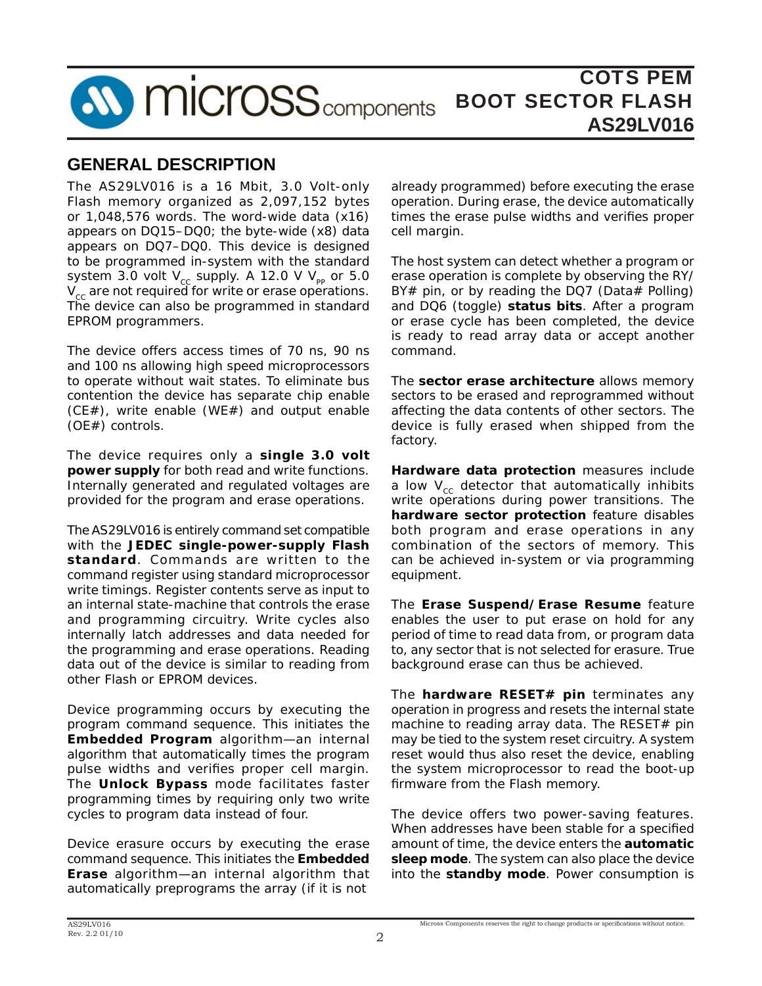

## **GENERAL DESCRIPTION**

The AS29LV016 is a 16 Mbit, 3.0 Volt-only Flash memory organized as 2,097,152 bytes or 1,048,576 words. The word-wide data (x16) appears on DQ15–DQ0; the byte-wide (x8) data appears on DQ7–DQ0. This device is designed to be programmed in-system with the standard system 3.0 volt  $V_{cc}$  supply. A 12.0 V  $V_{pp}$  or 5.0  $V_{cc}$  are not required for write or erase operations. The device can also be programmed in standard EPROM programmers.

The device offers access times of 70 ns, 90 ns and 100 ns allowing high speed microprocessors to operate without wait states. To eliminate bus contention the device has separate chip enable (CE#), write enable (WE#) and output enable (OE#) controls.

The device requires only a **single 3.0 volt power supply** for both read and write functions. Internally generated and regulated voltages are provided for the program and erase operations.

The AS29LV016 is entirely command set compatible with the **JEDEC single-power-supply Flash standard**. Commands are written to the command register using standard microprocessor write timings. Register contents serve as input to an internal state-machine that controls the erase and programming circuitry. Write cycles also internally latch addresses and data needed for the programming and erase operations. Reading data out of the device is similar to reading from other Flash or EPROM devices.

Device programming occurs by executing the program command sequence. This initiates the **Embedded Program** algorithm—an internal algorithm that automatically times the program pulse widths and verifies proper cell margin. The **Unlock Bypass** mode facilitates faster programming times by requiring only two write cycles to program data instead of four.

Device erasure occurs by executing the erase command sequence. This initiates the **Embedded Erase** algorithm—an internal algorithm that automatically preprograms the array (if it is not

already programmed) before executing the erase operation. During erase, the device automatically times the erase pulse widths and verifies proper cell margin.

The host system can detect whether a program or erase operation is complete by observing the RY/ BY# pin, or by reading the DQ7 (Data# Polling) and DQ6 (toggle) **status bits**. After a program or erase cycle has been completed, the device is ready to read array data or accept another command.

The **sector erase architecture** allows memory sectors to be erased and reprogrammed without affecting the data contents of other sectors. The device is fully erased when shipped from the factory.

**Hardware data protection** measures include a low  $V_{cc}$  detector that automatically inhibits write operations during power transitions. The **hardware sector protection** feature disables both program and erase operations in any combination of the sectors of memory. This can be achieved in-system or via programming equipment.

The **Erase Suspend/Erase Resume** feature enables the user to put erase on hold for any period of time to read data from, or program data to, any sector that is not selected for erasure. True background erase can thus be achieved.

The **hardware RESET# pin** terminates any operation in progress and resets the internal state machine to reading array data. The RESET# pin may be tied to the system reset circuitry. A system reset would thus also reset the device, enabling the system microprocessor to read the boot-up firmware from the Flash memory.

The device offers two power-saving features. When addresses have been stable for a specified amount of time, the device enters the **automatic sleep mode**. The system can also place the device into the **standby mode**. Power consumption is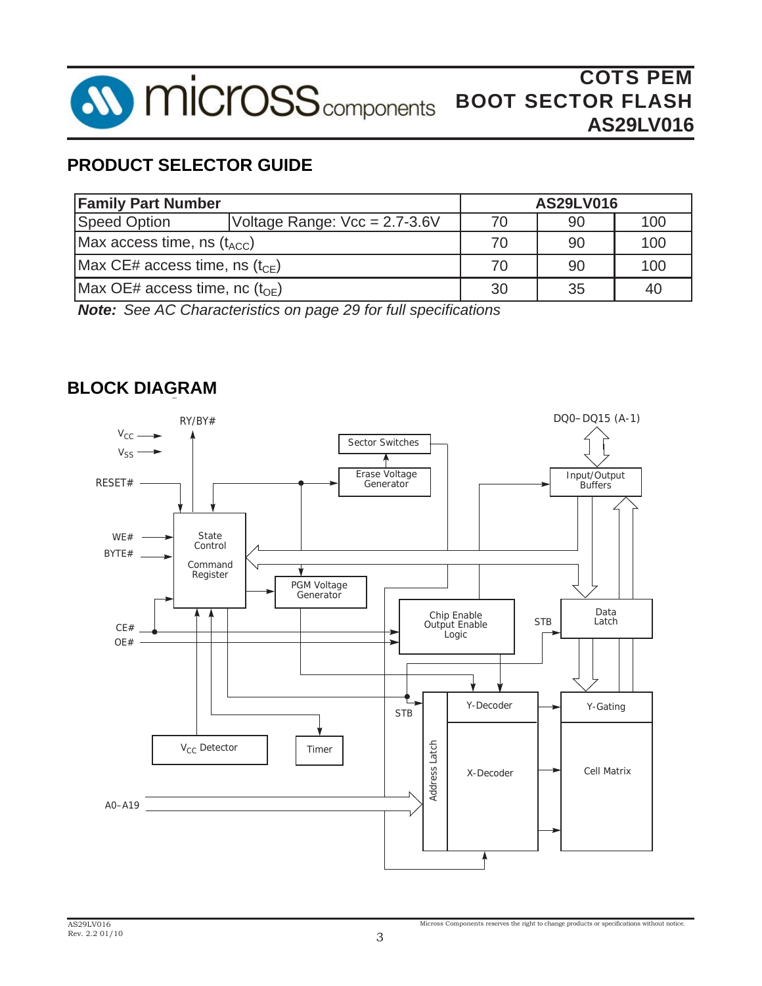

## **PRODUCT SELECTOR GUIDE**

| <b>Family Part Number</b>              |                               | <b>AS29LV016</b> |    |     |  |  |
|----------------------------------------|-------------------------------|------------------|----|-----|--|--|
| <b>Speed Option</b>                    | Voltage Range: Vcc = 2.7-3.6V |                  | 90 | 100 |  |  |
| Max access time, ns $(t_{\text{ACC}})$ |                               | 70               | 90 | 100 |  |  |
| Max CE# access time, ns $(t_{CF})$     |                               | 70               | 90 | 100 |  |  |
| Max OE# access time, nc $(t_{OF})$     |                               | 30               | 35 | 40  |  |  |

*Note: See AC Characteristics on page 29 for full specifications*

## **g BLOCK DIAGRAM**

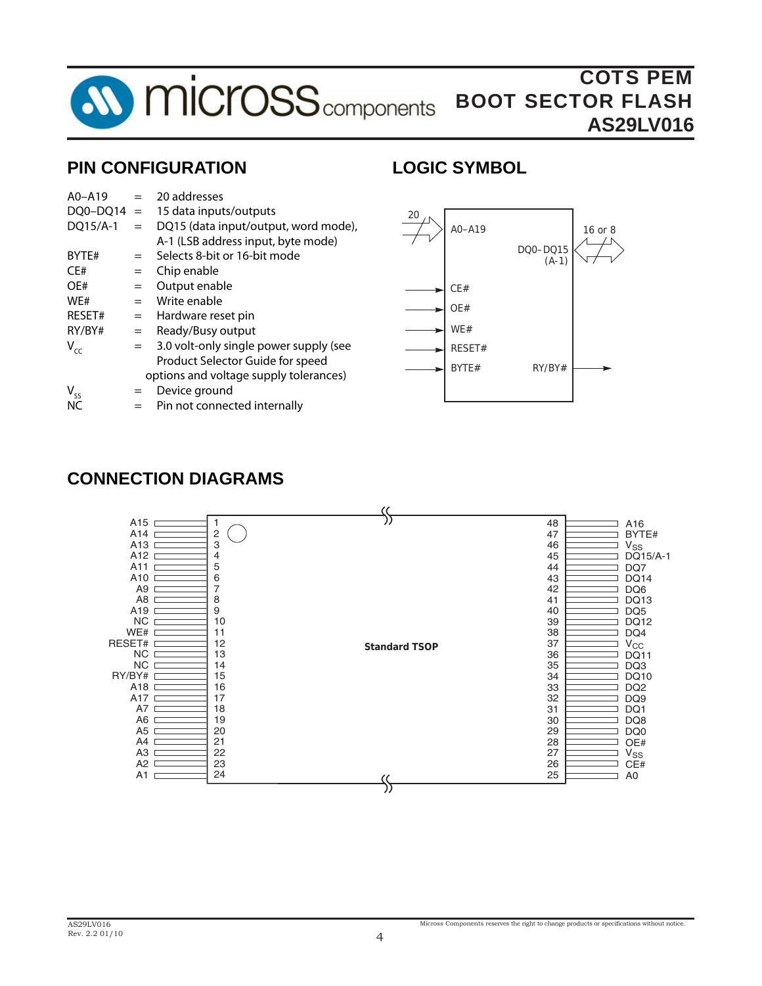

## **PIN CONFIGURATION**

## **LOGIC SYMBOL**

| $A0 - A19$ | $=$ | 20 addresses                           |
|------------|-----|----------------------------------------|
| DQ0-DQ14   | $=$ | 15 data inputs/outputs                 |
| DQ15/A-1   | $=$ | DQ15 (data input/output, word mode),   |
|            |     | A-1 (LSB address input, byte mode)     |
| BYTE#      | $=$ | Selects 8-bit or 16-bit mode           |
| CE#        | $=$ | Chip enable                            |
| OE#        | $=$ | Output enable                          |
| WE#        | $=$ | Write enable                           |
| RESET#     | $=$ | Hardware reset pin                     |
| RY/BY#     | $=$ | Ready/Busy output                      |
| $V_{cc}$   | $=$ | 3.0 volt-only single power supply (see |
|            |     | Product Selector Guide for speed       |
|            |     | options and voltage supply tolerances) |
| $V_{ss}$   | $=$ | Device ground                          |
| NC         |     | Pin not connected internally           |



## **CONNECTION DIAGRAMS**

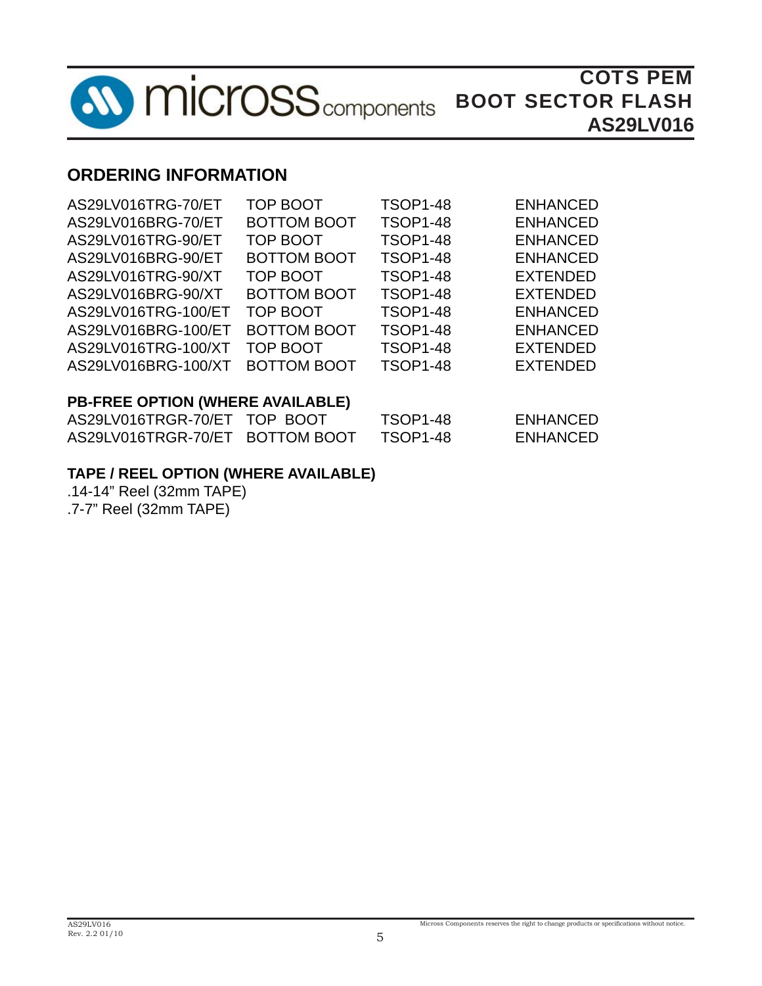

## **ORDERING INFORMATION**

| AS29LV016TRG-70/ET               | <b>TOP BOOT</b>    | <b>TSOP1-48</b> | <b>ENHANCED</b> |  |  |  |  |
|----------------------------------|--------------------|-----------------|-----------------|--|--|--|--|
| AS29LV016BRG-70/ET               | <b>BOTTOM BOOT</b> | <b>TSOP1-48</b> | <b>ENHANCED</b> |  |  |  |  |
| AS29LV016TRG-90/ET               | <b>TOP BOOT</b>    | <b>TSOP1-48</b> | <b>ENHANCED</b> |  |  |  |  |
| AS29LV016BRG-90/ET               | <b>BOTTOM BOOT</b> | <b>TSOP1-48</b> | <b>ENHANCED</b> |  |  |  |  |
| AS29LV016TRG-90/XT               | TOP BOOT           | <b>TSOP1-48</b> | <b>EXTENDED</b> |  |  |  |  |
| AS29LV016BRG-90/XT               | <b>BOTTOM BOOT</b> | <b>TSOP1-48</b> | <b>EXTENDED</b> |  |  |  |  |
| AS29LV016TRG-100/ET              | TOP BOOT           | <b>TSOP1-48</b> | <b>ENHANCED</b> |  |  |  |  |
| AS29LV016BRG-100/ET              | <b>BOTTOM BOOT</b> | <b>TSOP1-48</b> | <b>ENHANCED</b> |  |  |  |  |
| AS29LV016TRG-100/XT              | <b>TOP BOOT</b>    | <b>TSOP1-48</b> | <b>EXTENDED</b> |  |  |  |  |
| AS29LV016BRG-100/XT              | <b>BOTTOM BOOT</b> | <b>TSOP1-48</b> | <b>EXTENDED</b> |  |  |  |  |
| PB-FREE OPTION (WHERE AVAILABLE) |                    |                 |                 |  |  |  |  |
| AS29LV016TRGR-70/ET TOP BOOT     |                    | <b>TSOP1-48</b> | <b>ENHANCED</b> |  |  |  |  |

| ASZYLVUJ6IRGR-70/ET TOP BOOT    | 150P1-48 | ENHANCED        |
|---------------------------------|----------|-----------------|
| AS29LV016TRGR-70/ET BOTTOM BOOT | TSOP1-48 | <b>ENHANCED</b> |

## **TAPE / REEL OPTION (WHERE AVAILABLE)**

.14-14" Reel (32mm TAPE) .7-7" Reel (32mm TAPE)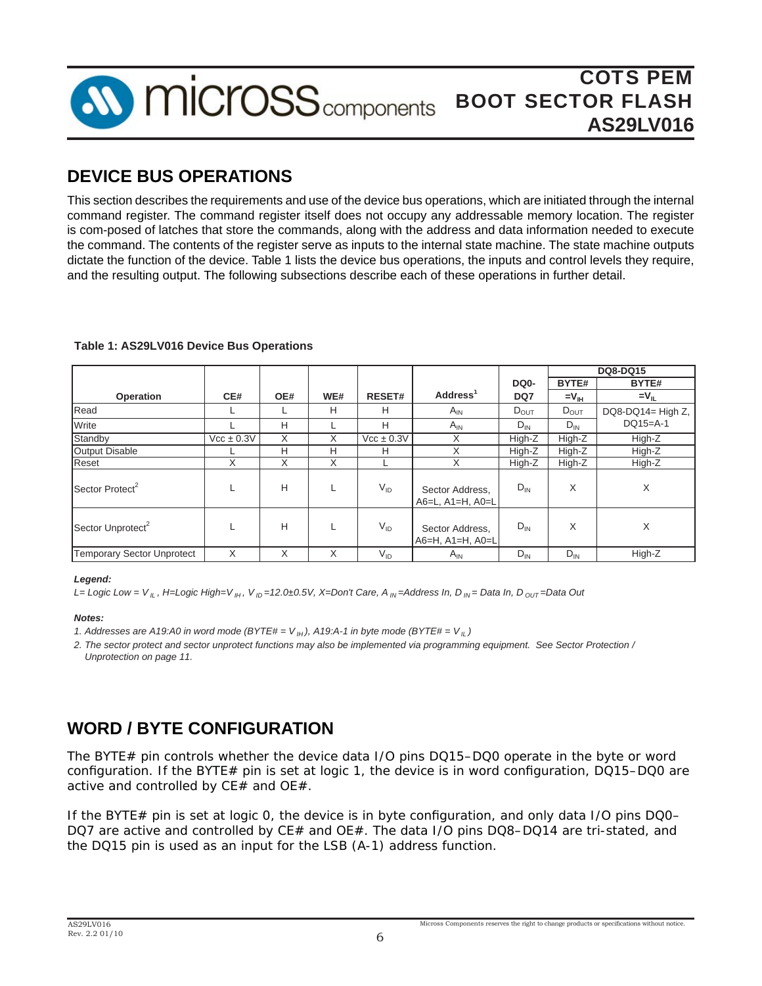

## **DEVICE BUS OPERATIONS**

This section describes the requirements and use of the device bus operations, which are initiated through the internal command register. The command register itself does not occupy any addressable memory location. The register is com-posed of latches that store the commands, along with the address and data information needed to execute the command. The contents of the register serve as inputs to the internal state machine. The state machine outputs dictate the function of the device. Table 1 lists the device bus operations, the inputs and control levels they require, and the resulting output. The following subsections describe each of these operations in further detail.

| Table 1: AS29LV016 Device Bus Operations |  |  |
|------------------------------------------|--|--|
|------------------------------------------|--|--|

|                                   |                |     |     |                              |                                             |                   |                     | <b>DQ8-DQ15</b>     |
|-----------------------------------|----------------|-----|-----|------------------------------|---------------------------------------------|-------------------|---------------------|---------------------|
|                                   |                |     |     |                              |                                             | DQ <sub>0</sub> - | BYTE#               | BYTE#               |
| Operation                         | CE#            | OE# | WE# | <b>RESET#</b>                | Address <sup>1</sup>                        | DQ7               | $=$ $V_{\text{IH}}$ | $=$ V <sub>II</sub> |
| Read                              |                |     | H   | H                            | $A_{IN}$                                    | $D_{OUT}$         | $D_{OUT}$           | DQ8-DQ14= High Z,   |
| Write                             |                | Н   |     | H                            | $A_{IN}$                                    | $D_{IN}$          | $D_{IN}$            | $DQ15=A-1$          |
| Standby                           | $Vcc \pm 0.3V$ | X   | X   | $\text{Vcc} \pm 0.3\text{V}$ | X                                           | High-Z            | High-Z              | High-Z              |
| <b>Output Disable</b>             |                | Н   | H   | H                            | X                                           | High-Z            | High-Z              | High-Z              |
| Reset                             | X              | X   | X   |                              | X                                           | High-Z            | High-Z              | High-Z              |
| Sector Protect <sup>2</sup>       |                | H   |     | $V_{ID}$                     | Sector Address,<br>A6=L, A1=H, A0=L         | $D_{IN}$          | X                   | X                   |
| Sector Unprotect <sup>2</sup>     |                | Н   |     | $V_{ID}$                     | Sector Address,<br>$A6=H$ , $A1=H$ , $A0=L$ | $D_{IN}$          | X                   | X                   |
| <b>Temporary Sector Unprotect</b> | X              | X   | X   | $V_{ID}$                     | $A_{IN}$                                    | $D_{IN}$          | $D_{IN}$            | High-Z              |

#### *Legend:*

*L= Logic Low = V IL , H=Logic High=V IH , V ID =12.0±0.5V, X=Don't Care, A IN =Address In, D IN = Data In, D OUT =Data Out*

#### *Notes:*

*1. Addresses are A19:A0 in word mode (BYTE#* =  $V$ <sub>*IH</sub>*), *A19:A-1 in byte mode (BYTE#* =  $V$ <sub>*IL</sub>*)</sub></sub>

*2. The sector protect and sector unprotect functions may also be implemented via programming equipment. See Sector Protection / Unprotection on page 11.*

## **WORD / BYTE CONFIGURATION**

The BYTE# pin controls whether the device data I/O pins DQ15–DQ0 operate in the byte or word configuration. If the BYTE# pin is set at logic 1, the device is in word configuration,  $DQ15-DQ0$  are active and controlled by CE# and OE#.

If the BYTE# pin is set at logic  $O$ , the device is in byte configuration, and only data I/O pins DQ0– DQ7 are active and controlled by CE# and OE#. The data I/O pins DQ8-DQ14 are tri-stated, and the DQ15 pin is used as an input for the LSB (A-1) address function.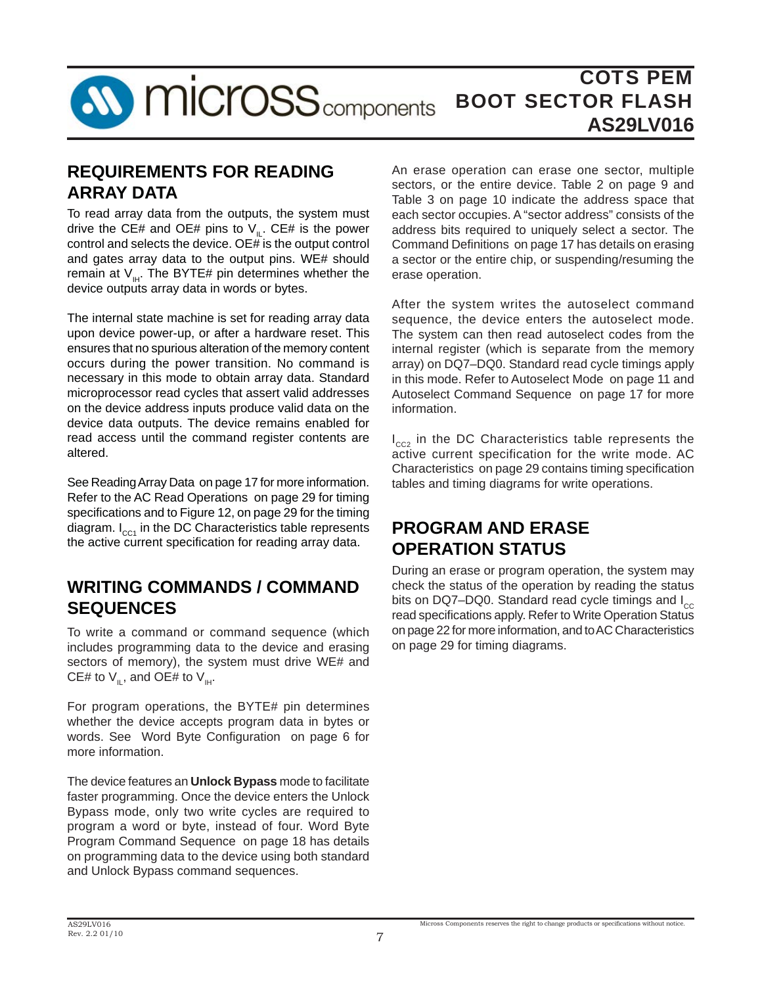

## **REQUIREMENTS FOR READING ARRAY DATA**

To read array data from the outputs, the system must drive the CE# and OE# pins to  $V_{\parallel}$ . CE# is the power control and selects the device. OE# is the output control and gates array data to the output pins. WE# should remain at  $V_{\mu}$ . The BYTE# pin determines whether the device outputs array data in words or bytes.

The internal state machine is set for reading array data upon device power-up, or after a hardware reset. This ensures that no spurious alteration of the memory content occurs during the power transition. No command is necessary in this mode to obtain array data. Standard microprocessor read cycles that assert valid addresses on the device address inputs produce valid data on the device data outputs. The device remains enabled for read access until the command register contents are altered.

See Reading Array Data on page 17 for more information. Refer to the AC Read Operations on page 29 for timing specifications and to Figure 12, on page 29 for the timing diagram.  $I_{cc1}$  in the DC Characteristics table represents the active current specification for reading array data.

## **WRITING COMMANDS / COMMAND SEQUENCES**

To write a command or command sequence (which includes programming data to the device and erasing sectors of memory), the system must drive WE# and CE# to  $V_{II}$ , and OE# to  $V_{III}$ .

For program operations, the BYTE# pin determines whether the device accepts program data in bytes or words. See Word Byte Configuration on page 6 for more information.

The device features an **Unlock Bypass** mode to facilitate faster programming. Once the device enters the Unlock Bypass mode, only two write cycles are required to program a word or byte, instead of four. Word Byte Program Command Sequence on page 18 has details on programming data to the device using both standard and Unlock Bypass command sequences.

An erase operation can erase one sector, multiple sectors, or the entire device. Table 2 on page 9 and Table 3 on page 10 indicate the address space that each sector occupies. A "sector address" consists of the address bits required to uniquely select a sector. The Command Definitions on page 17 has details on erasing a sector or the entire chip, or suspending/resuming the erase operation.

After the system writes the autoselect command sequence, the device enters the autoselect mode. The system can then read autoselect codes from the internal register (which is separate from the memory array) on DQ7–DQ0. Standard read cycle timings apply in this mode. Refer to Autoselect Mode on page 11 and Autoselect Command Sequence on page 17 for more information.

I<sub>cc2</sub> in the DC Characteristics table represents the active current specification for the write mode. AC Characteristics on page 29 contains timing specification tables and timing diagrams for write operations.

## **PROGRAM AND ERASE OPERATION STATUS**

During an erase or program operation, the system may check the status of the operation by reading the status bits on DQ7–DQ0. Standard read cycle timings and  $I_{cc}$ read specifications apply. Refer to Write Operation Status on page 22 for more information, and to AC Characteristics on page 29 for timing diagrams.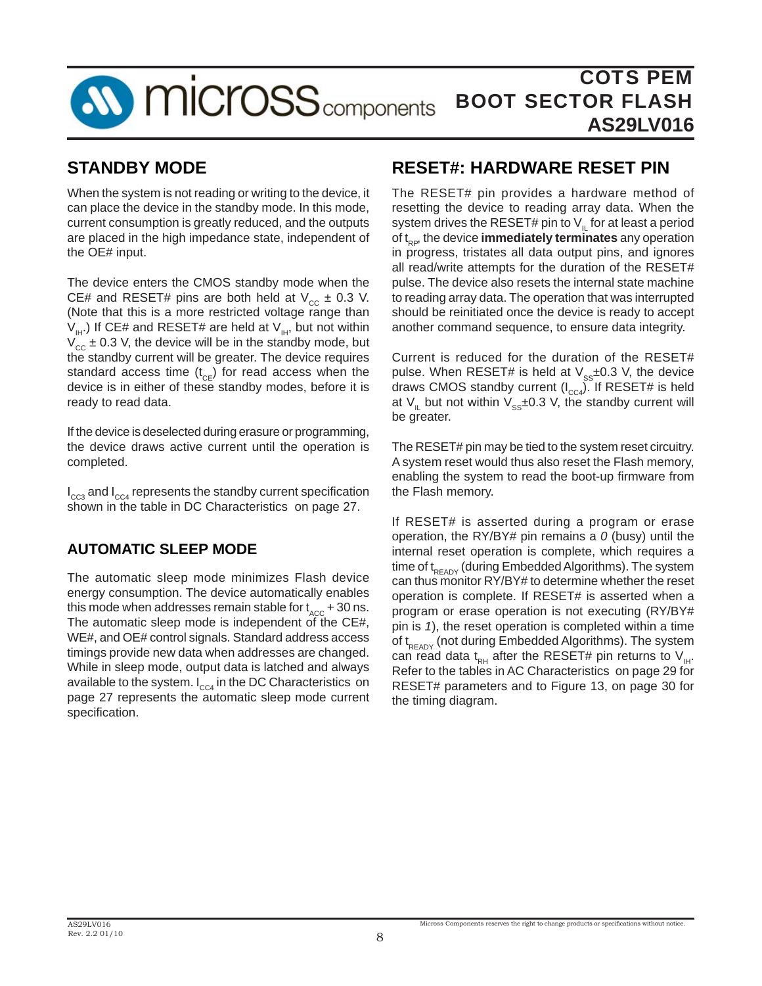

## **STANDBY MODE**

When the system is not reading or writing to the device, it can place the device in the standby mode. In this mode, current consumption is greatly reduced, and the outputs are placed in the high impedance state, independent of the OE# input.

The device enters the CMOS standby mode when the CE# and RESET# pins are both held at  $V_{cc} \pm 0.3$  V. (Note that this is a more restricted voltage range than  $V_{\mu}$ ) If CE# and RESET# are held at  $V_{\mu}$ , but not within  $V_{cc} \pm 0.3$  V, the device will be in the standby mode, but the standby current will be greater. The device requires standard access time  $(t_{CE})$  for read access when the device is in either of these standby modes, before it is ready to read data.

If the device is deselected during erasure or programming, the device draws active current until the operation is completed.

 $I_{\rm ccs}$  and  $I_{\rm cca}$  represents the standby current specification shown in the table in DC Characteristics on page 27.

## **AUTOMATIC SLEEP MODE**

The automatic sleep mode minimizes Flash device energy consumption. The device automatically enables this mode when addresses remain stable for  $t_{\text{acc}}$  + 30 ns. The automatic sleep mode is independent of the CE#, WE#, and OE# control signals. Standard address access timings provide new data when addresses are changed. While in sleep mode, output data is latched and always available to the system.  $I_{cC4}$  in the DC Characteristics on page 27 represents the automatic sleep mode current specification.

## **RESET#: HARDWARE RESET PIN**

The RESET# pin provides a hardware method of resetting the device to reading array data. When the system drives the RESET# pin to  $V_{\parallel}$  for at least a period of t<sub>RP</sub>, the device **immediately terminates** any operation in progress, tristates all data output pins, and ignores all read/write attempts for the duration of the RESET# pulse. The device also resets the internal state machine to reading array data. The operation that was interrupted should be reinitiated once the device is ready to accept another command sequence, to ensure data integrity.

Current is reduced for the duration of the RESET# pulse. When RESET# is held at  $\lor_{\mathop{\mathrm{ss}} \nolimits}$ ±0.3 V, the device draws CMOS standby current ( $I_{\text{CC4}}$ ). If RESET# is held at  $V_{\parallel}$  but not within  $V_{\text{ss}}\pm 0.3$  V, the standby current will be greater.

The RESET# pin may be tied to the system reset circuitry. A system reset would thus also reset the Flash memory, enabling the system to read the boot-up firmware from the Flash memory.

If RESET# is asserted during a program or erase operation, the RY/BY# pin remains a *0* (busy) until the internal reset operation is complete, which requires a time of  $t_{READV}$  (during Embedded Algorithms). The system can thus monitor RY/BY# to determine whether the reset operation is complete. If RESET# is asserted when a program or erase operation is not executing (RY/BY# pin is *1*), the reset operation is completed within a time of  $t_{READV}$  (not during Embedded Algorithms). The system can read data t<sub>RH</sub> after the RESET# pin returns to V<sub>IH</sub>. Refer to the tables in AC Characteristics on page 29 for RESET# parameters and to Figure 13, on page 30 for the timing diagram.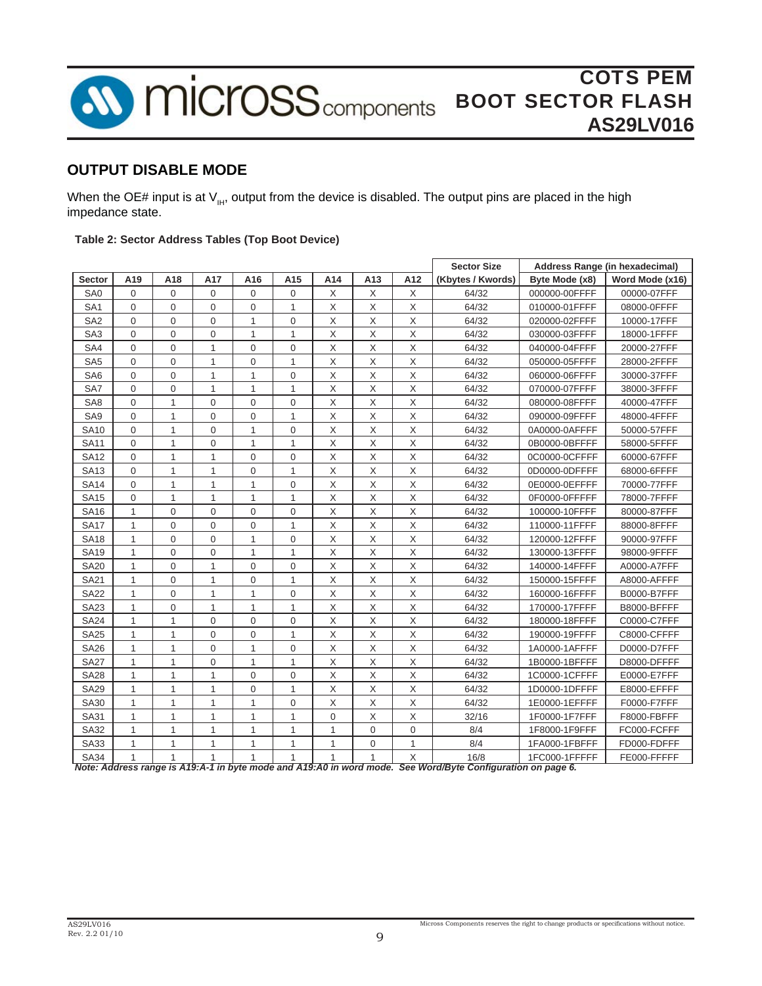

### **OUTPUT DISABLE MODE**

When the OE# input is at  $V_{\mu\nu}$ , output from the device is disabled. The output pins are placed in the high impedance state.

#### **Table 2: Sector Address Tables (Top Boot Device)**

|                 |              |              |              |              |              |                |              |              | <b>Sector Size</b> |                | Address Range (in hexadecimal) |
|-----------------|--------------|--------------|--------------|--------------|--------------|----------------|--------------|--------------|--------------------|----------------|--------------------------------|
| <b>Sector</b>   | A19          | A18          | A17          | A16          | A15          | A14            | A13          | A12          | (Kbytes / Kwords)  | Byte Mode (x8) | Word Mode (x16)                |
| SA0             | $\Omega$     | $\Omega$     | $\Omega$     | $\Omega$     | 0            | $\times$       | X            | X            | 64/32              | 000000-00FFFF  | 00000-07FFF                    |
| SA <sub>1</sub> | $\mathbf{0}$ | $\mathbf{0}$ | 0            | 0            | 1            | X              | X            | X            | 64/32              | 010000-01FFFF  | 08000-0FFFF                    |
| SA <sub>2</sub> | $\mathbf{0}$ | $\mathbf{0}$ | 0            | $\mathbf{1}$ | 0            | $\times$       | X            | $\times$     | 64/32              | 020000-02FFFF  | 10000-17FFF                    |
| SA <sub>3</sub> | $\mathbf 0$  | $\mathbf 0$  | 0            | 1            | 1            | $\mathsf X$    | X            | X            | 64/32              | 030000-03FFFF  | 18000-1FFFF                    |
| SA4             | $\Omega$     | $\mathbf 0$  | $\mathbf{1}$ | 0            | 0            | X              | X            | X            | 64/32              | 040000-04FFFF  | 20000-27FFF                    |
| SA <sub>5</sub> | $\Omega$     | $\mathbf 0$  | $\mathbf{1}$ | 0            | 1            | X              | X            | X            | 64/32              | 050000-05FFFF  | 28000-2FFFF                    |
| SA <sub>6</sub> | 0            | $\mathbf 0$  | $\mathbf{1}$ | 1            | 0            | X              | X            | X            | 64/32              | 060000-06FFFF  | 30000-37FFF                    |
| SA7             | $\Omega$     | 0            | $\mathbf{1}$ | 1            | 1            | X              | X            | X            | 64/32              | 070000-07FFFF  | 38000-3FFFF                    |
| SA <sub>8</sub> | $\mathbf 0$  | $\mathbf{1}$ | 0            | 0            | $\mathbf 0$  | X              | X            | X            | 64/32              | 080000-08FFFF  | 40000-47FFF                    |
| SA <sub>9</sub> | $\mathbf 0$  | $\mathbf{1}$ | $\mathbf{0}$ | 0            | 1            | X              | X            | X            | 64/32              | 090000-09FFFF  | 48000-4FFFF                    |
| <b>SA10</b>     | $\mathbf{0}$ | $\mathbf{1}$ | 0            | 1            | 0            | X              | X            | X            | 64/32              | 0A0000-0AFFFF  | 50000-57FFF                    |
| <b>SA11</b>     | $\mathbf 0$  | $\mathbf{1}$ | 0            | 1            | 1            | X              | X            | X            | 64/32              | 0B0000-0BFFFF  | 58000-5FFFF                    |
| <b>SA12</b>     | $\mathbf{0}$ | $\mathbf{1}$ | $\mathbf{1}$ | 0            | 0            | X              | X            | X            | 64/32              | 0C0000-0CFFFF  | 60000-67FFF                    |
| <b>SA13</b>     | $\Omega$     | $\mathbf{1}$ | $\mathbf{1}$ | 0            | 1            | X              | X            | X            | 64/32              | 0D0000-0DFFFF  | 68000-6FFFF                    |
| <b>SA14</b>     | $\Omega$     | $\mathbf{1}$ | 1            | 1            | 0            | X              | X            | X            | 64/32              | 0E0000-0EFFFF  | 70000-77FFF                    |
| <b>SA15</b>     | 0            | 1            | 1            | 1            | 1            | X              | X            | X            | 64/32              | 0F0000-0FFFFF  | 78000-7FFFF                    |
| <b>SA16</b>     | 1            | $\mathbf 0$  | 0            | 0            | 0            | X              | X            | X            | 64/32              | 100000-10FFFF  | 80000-87FFF                    |
| <b>SA17</b>     | 1            | $\mathbf 0$  | 0            | 0            | $\mathbf{1}$ | X              | X            | X            | 64/32              | 110000-11FFFF  | 88000-8FFFF                    |
| <b>SA18</b>     | $\mathbf{1}$ | $\mathbf 0$  | 0            | $\mathbf{1}$ | 0            | X              | X            | X            | 64/32              | 120000-12FFFF  | 90000-97FFF                    |
| <b>SA19</b>     | $\mathbf{1}$ | 0            | 0            | $\mathbf{1}$ | 1            | Χ              | X            | X            | 64/32              | 130000-13FFFF  | 98000-9FFFF                    |
| <b>SA20</b>     | $\mathbf{1}$ | 0            | 1            | 0            | 0            | Χ              | X            | X            | 64/32              | 140000-14FFFF  | A0000-A7FFF                    |
| <b>SA21</b>     | 1            | 0            | 1            | 0            | 1            | X              | X            | X            | 64/32              | 150000-15FFFF  | A8000-AFFFF                    |
| <b>SA22</b>     | $\mathbf{1}$ | $\mathbf 0$  | $\mathbf{1}$ | $\mathbf{1}$ | 0            | X              | X            | X            | 64/32              | 160000-16FFFF  | B0000-B7FFF                    |
| <b>SA23</b>     | $\mathbf{1}$ | $\mathbf 0$  | $\mathbf{1}$ | $\mathbf{1}$ | 1            | X              | X            | X            | 64/32              | 170000-17FFFF  | B8000-BFFFF                    |
| <b>SA24</b>     | $\mathbf{1}$ | $\mathbf{1}$ | $\Omega$     | $\mathbf 0$  | $\mathbf 0$  | X              | X            | X            | 64/32              | 180000-18FFFF  | C0000-C7FFF                    |
| <b>SA25</b>     | $\mathbf{1}$ | $\mathbf{1}$ | $\mathbf{0}$ | 0            | 1            | X              | X            | X            | 64/32              | 190000-19FFFF  | C8000-CFFFF                    |
| <b>SA26</b>     | $\mathbf{1}$ | $\mathbf{1}$ | $\mathbf{0}$ | 1            | $\mathbf 0$  | X              | X            | X            | 64/32              | 1A0000-1AFFFF  | D0000-D7FFF                    |
| <b>SA27</b>     | $\mathbf{1}$ | $\mathbf{1}$ | 0            | $\mathbf{1}$ | $\mathbf{1}$ | X              | X            | X            | 64/32              | 1B0000-1BFFFF  | D8000-DFFFF                    |
| <b>SA28</b>     | $\mathbf{1}$ | $\mathbf{1}$ | $\mathbf{1}$ | 0            | 0            | X              | X            | X            | 64/32              | 1C0000-1CFFFF  | E0000-E7FFF                    |
| <b>SA29</b>     | $\mathbf{1}$ | $\mathbf{1}$ | $\mathbf{1}$ | 0            | 1            | X              | X            | X            | 64/32              | 1D0000-1DFFFF  | E8000-EFFFF                    |
| <b>SA30</b>     | $\mathbf{1}$ | $\mathbf{1}$ | $\mathbf{1}$ | 1            | 0            | X              | X            | X            | 64/32              | 1E0000-1EFFFF  | F0000-F7FFF                    |
| SA31            | $\mathbf{1}$ | $\mathbf{1}$ | $\mathbf{1}$ | $\mathbf{1}$ | $\mathbf{1}$ | $\overline{0}$ | X            | X            | 32/16              | 1F0000-1F7FFF  | F8000-FBFFF                    |
| <b>SA32</b>     | $\mathbf{1}$ | $\mathbf{1}$ | $\mathbf{1}$ | $\mathbf{1}$ | $\mathbf{1}$ | $\mathbf{1}$   | $\mathbf 0$  | 0            | 8/4                | 1F8000-1F9FFF  | FC000-FCFFF                    |
| <b>SA33</b>     | $\mathbf{1}$ | $\mathbf{1}$ | 1            | 1            | 1            | 1              | $\mathbf 0$  | $\mathbf{1}$ | 8/4                | 1FA000-1FBFFF  | FD000-FDFFF                    |
| <b>SA34</b>     | 1            | $\mathbf{1}$ | 1            | 1            | $\mathbf{1}$ | 1              | $\mathbf{1}$ | X            | 16/8               | 1FC000-1FFFFF  | FE000-FFFFF                    |

*Note: Address range is A19:A-1 in byte mode and A19:A0 in word mode. See Word/Byte Configuration on page 6.*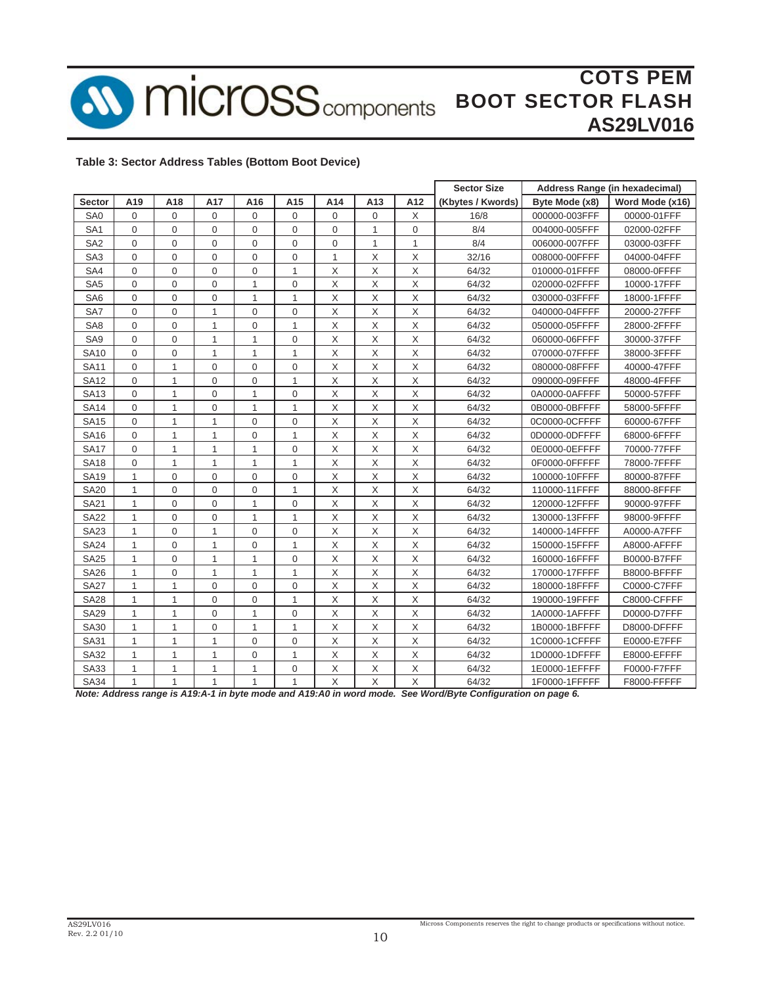

COTS PEM **MICroSS** components BOOT SECTOR FLASH **AS29LV016**

#### **Table 3: Sector Address Tables (Bottom Boot Device)**

|                 |              |              |                |              |                |              |     |             | <b>Sector Size</b> |                | Address Range (in hexadecimal) |
|-----------------|--------------|--------------|----------------|--------------|----------------|--------------|-----|-------------|--------------------|----------------|--------------------------------|
| <b>Sector</b>   | A19          | A18          | A17            | A16          | A15            | A14          | A13 | A12         | (Kbytes / Kwords)  | Byte Mode (x8) | Word Mode (x16)                |
| SA <sub>0</sub> | $\Omega$     | $\mathbf 0$  | 0              | 0            | 0              | $\Omega$     | 0   | X           | 16/8               | 000000-003FFF  | 00000-01FFF                    |
| SA <sub>1</sub> | $\Omega$     | $\mathbf 0$  | $\Omega$       | 0            | $\Omega$       | $\Omega$     | 1   | $\Omega$    | 8/4                | 004000-005FFF  | 02000-02FFF                    |
| SA <sub>2</sub> | $\mathbf{0}$ | $\mathbf 0$  | 0              | 0            | 0              | $\mathbf 0$  | 1   | 1           | 8/4                | 006000-007FFF  | 03000-03FFF                    |
| SA <sub>3</sub> | $\Omega$     | $\mathbf 0$  | 0              | 0            | $\mathbf 0$    | $\mathbf{1}$ | X   | X           | 32/16              | 008000-00FFFF  | 04000-04FFF                    |
| SA4             | $\Omega$     | $\mathbf 0$  | 0              | 0            | $\mathbf{1}$   | X            | X   | X           | 64/32              | 010000-01FFFF  | 08000-0FFFF                    |
| SA <sub>5</sub> | $\mathbf 0$  | 0            | 0              | 1            | 0              | X            | X   | X           | 64/32              | 020000-02FFFF  | 10000-17FFF                    |
| SA <sub>6</sub> | $\Omega$     | $\mathbf 0$  | 0              | 1            | $\mathbf{1}$   | X            | X   | X           | 64/32              | 030000-03FFFF  | 18000-1FFFF                    |
| SA7             | $\mathbf{0}$ | $\mathbf 0$  | 1              | 0            | 0              | X            | X   | X           | 64/32              | 040000-04FFFF  | 20000-27FFF                    |
| SA <sub>8</sub> | $\mathbf{0}$ | 0            | 1              | 0            | $\mathbf{1}$   | X            | X   | X           | 64/32              | 050000-05FFFF  | 28000-2FFFF                    |
| SA9             | $\Omega$     | 0            | 1              | $\mathbf{1}$ | $\mathbf 0$    | X            | X   | X           | 64/32              | 060000-06FFFF  | 30000-37FFF                    |
| <b>SA10</b>     | $\mathbf 0$  | 0            | 1              | 1            | 1              | X            | X   | X           | 64/32              | 070000-07FFFF  | 38000-3FFFF                    |
| <b>SA11</b>     | $\mathbf 0$  | 1            | 0              | 0            | 0              | X            | X   | X           | 64/32              | 080000-08FFFF  | 40000-47FFF                    |
| <b>SA12</b>     | $\mathbf{0}$ | $\mathbf{1}$ | 0              | 0            | 1              | X            | X   | X           | 64/32              | 090000-09FFFF  | 48000-4FFFF                    |
| <b>SA13</b>     | $\mathbf 0$  | 1            | 0              | 1            | 0              | X            | X   | X           | 64/32              | 0A0000-0AFFFF  | 50000-57FFF                    |
| <b>SA14</b>     | $\mathbf 0$  | $\mathbf{1}$ | 0              | 1            | $\mathbf{1}$   | X            | X   | X           | 64/32              | 0B0000-0BFFFF  | 58000-5FFFF                    |
| <b>SA15</b>     | $\Omega$     | $\mathbf{1}$ | $\mathbf{1}$   | 0            | 0              | X            | X   | X           | 64/32              | 0C0000-0CFFFF  | 60000-67FFF                    |
| <b>SA16</b>     | $\Omega$     | $\mathbf{1}$ | $\mathbf{1}$   | 0            | $\mathbf{1}$   | X            | X   | X           | 64/32              | 0D0000-0DFFFF  | 68000-6FFFF                    |
| <b>SA17</b>     | $\Omega$     | $\mathbf{1}$ | $\mathbf{1}$   | 1            | $\mathbf 0$    | X            | X   | X           | 64/32              | 0E0000-0EFFFF  | 70000-77FFF                    |
| <b>SA18</b>     | $\mathbf 0$  | $\mathbf{1}$ | $\mathbf{1}$   | 1            | 1              | X            | X   | X           | 64/32              | 0F0000-0FFFFF  | 78000-7FFFF                    |
| <b>SA19</b>     | $\mathbf{1}$ | 0            | 0              | $\mathbf 0$  | 0              | X            | X   | X           | 64/32              | 100000-10FFFF  | 80000-87FFF                    |
| <b>SA20</b>     | $\mathbf{1}$ | 0            | 0              | $\mathbf 0$  | $\mathbf{1}$   | X            | X   | X           | 64/32              | 110000-11FFFF  | 88000-8FFFF                    |
| <b>SA21</b>     | $\mathbf{1}$ | 0            | 0              | $\mathbf{1}$ | 0              | X            | X   | X           | 64/32              | 120000-12FFFF  | 90000-97FFF                    |
| <b>SA22</b>     | $\mathbf{1}$ | 0            | 0              | 1            | 1              | X            | X   | X           | 64/32              | 130000-13FFFF  | 98000-9FFFF                    |
| <b>SA23</b>     | $\mathbf{1}$ | $\mathbf 0$  | 1              | $\mathbf 0$  | 0              | X            | X   | Χ           | 64/32              | 140000-14FFFF  | A0000-A7FFF                    |
| <b>SA24</b>     | 1            | $\mathbf 0$  | $\mathbf{1}$   | 0            | 1              | X            | X   | X           | 64/32              | 150000-15FFFF  | A8000-AFFFF                    |
| <b>SA25</b>     | $\mathbf{1}$ | $\mathbf 0$  | $\mathbf{1}$   | $\mathbf{1}$ | $\overline{0}$ | X            | X   | X           | 64/32              | 160000-16FFFF  | B0000-B7FFF                    |
| <b>SA26</b>     | $\mathbf{1}$ | $\mathbf 0$  | $\mathbf{1}$   | $\mathbf{1}$ | $\mathbf{1}$   | X            | X   | X           | 64/32              | 170000-17FFFF  | B8000-BFFFF                    |
| <b>SA27</b>     | $\mathbf{1}$ | $\mathbf{1}$ | $\mathbf 0$    | $\mathbf 0$  | 0              | X            | X   | X           | 64/32              | 180000-18FFFF  | C0000-C7FFF                    |
| <b>SA28</b>     | $\mathbf{1}$ | $\mathbf{1}$ | $\overline{0}$ | $\mathbf 0$  | 1              | X            | X   | X           | 64/32              | 190000-19FFFF  | C8000-CFFFF                    |
| <b>SA29</b>     | $\mathbf{1}$ | $\mathbf{1}$ | 0              | 1            | 0              | X            | X   | $\mathsf X$ | 64/32              | 1A0000-1AFFFF  | D0000-D7FFF                    |
| <b>SA30</b>     | $\mathbf{1}$ | $\mathbf{1}$ | 0              | $\mathbf{1}$ | $\mathbf{1}$   | X            | X   | X           | 64/32              | 1B0000-1BFFFF  | D8000-DFFFF                    |
| <b>SA31</b>     | $\mathbf{1}$ | $\mathbf{1}$ | $\mathbf{1}$   | $\mathbf 0$  | 0              | X            | X   | X           | 64/32              | 1C0000-1CFFFF  | E0000-E7FFF                    |
| SA32            | $\mathbf{1}$ | $\mathbf{1}$ | $\mathbf{1}$   | 0            | 1              | X            | X   | X           | 64/32              | 1D0000-1DFFFF  | E8000-EFFFF                    |
| <b>SA33</b>     | $\mathbf{1}$ | $\mathbf{1}$ | $\mathbf{1}$   | $\mathbf{1}$ | 0              | X            | X   | $\mathsf X$ | 64/32              | 1E0000-1EFFFF  | F0000-F7FFF                    |
| <b>SA34</b>     | $\mathbf{1}$ | $\mathbf{1}$ | $\mathbf{1}$   | $\mathbf{1}$ | $\mathbf{1}$   | $\mathsf X$  | X   | X           | 64/32              | 1F0000-1FFFFF  | F8000-FFFFF                    |

*Note: Address range is A19:A-1 in byte mode and A19:A0 in word mode. See Word/Byte Configuration on page 6.*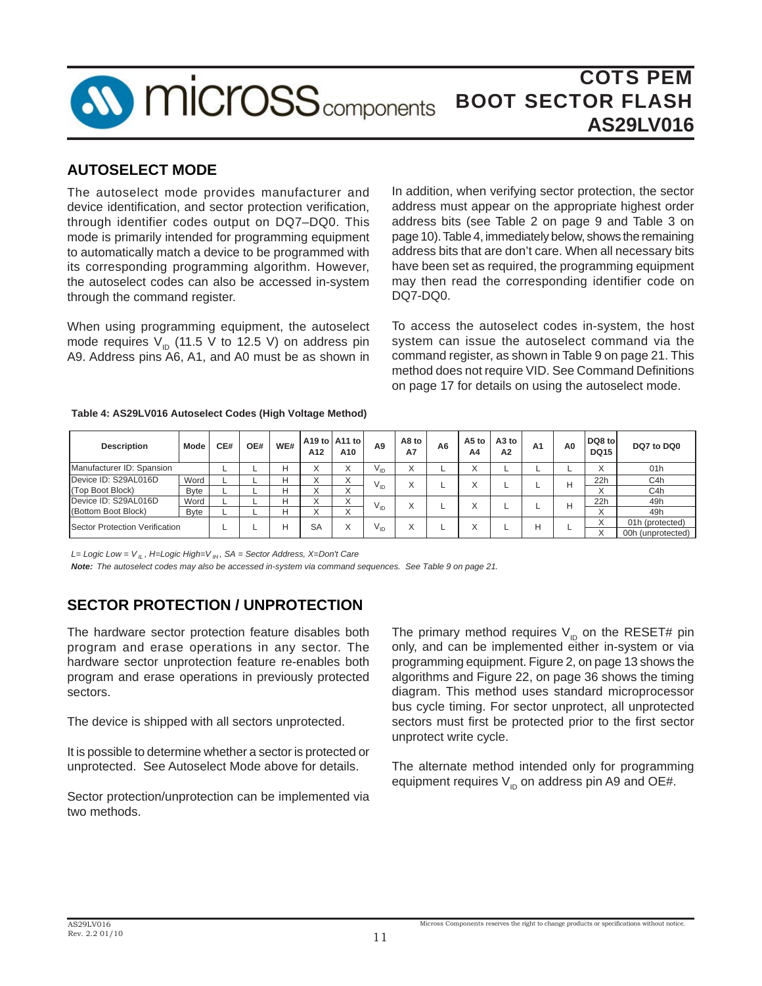

## **AUTOSELECT MODE**

The autoselect mode provides manufacturer and device identification, and sector protection verification, through identifier codes output on DQ7–DQ0. This mode is primarily intended for programming equipment to automatically match a device to be programmed with its corresponding programming algorithm. However, the autoselect codes can also be accessed in-system through the command register.

When using programming equipment, the autoselect mode requires  $V_{\text{ID}}$  (11.5 V to 12.5 V) on address pin A9. Address pins A6, A1, and A0 must be as shown in In addition, when verifying sector protection, the sector address must appear on the appropriate highest order address bits (see Table 2 on page 9 and Table 3 on page 10). Table 4, immediately below, shows the remaining address bits that are don't care. When all necessary bits have been set as required, the programming equipment may then read the corresponding identifier code on DQ7-DQ0.

To access the autoselect codes in-system, the host system can issue the autoselect command via the command register, as shown in Table 9 on page 21. This method does not require VID. See Command Definitions on page 17 for details on using the autoselect mode.

#### **Table 4: AS29LV016 Autoselect Codes (High Voltage Method)**

| <b>Description</b>             | Mode         | CE# | OE# | WE# | A12       | A <sub>19</sub> to A <sub>11</sub> to<br>A10 | A <sub>9</sub>  | A8 to<br><b>A7</b>        | A <sub>6</sub> | A5 to<br>A4       | A <sub>3</sub> to<br>A2 | A <sub>1</sub> | A0 | DQ8 to<br><b>DQ15</b> | DQ7 to DQ0        |
|--------------------------------|--------------|-----|-----|-----|-----------|----------------------------------------------|-----------------|---------------------------|----------------|-------------------|-------------------------|----------------|----|-----------------------|-------------------|
| Manufacturer ID: Spansion      |              |     |     |     | v         | $\checkmark$<br>⋏                            | $V_{ID}$        | $\checkmark$<br>$\lambda$ |                | $\checkmark$<br>⋏ |                         |                |    | ᄉ                     | 01h               |
| Device ID: S29AL016D           | Word         |     |     | н   |           | $\wedge$                                     | Vю              | $\checkmark$              |                | $\checkmark$      |                         |                | н  | 22h                   | C <sub>4</sub> h  |
| (Top Boot Block)               | <b>Byte</b>  |     |     |     |           | $\wedge$                                     |                 |                           |                | ⋏                 |                         |                |    | $\lambda$             | C <sub>4</sub> h  |
| Device ID: S29AL016D           | Word         |     |     | н   |           |                                              | $V_{ID}$        | $\checkmark$              |                | $\checkmark$      |                         |                | н  | 22h                   | 49h               |
| (Bottom Boot Block)            | <b>B</b> vte |     |     | н   |           | $\wedge$                                     |                 | ⋏                         |                | $\lambda$         |                         |                |    | $\wedge$              | 49h               |
| Sector Protection Verification |              |     |     | н   | <b>SA</b> |                                              | V <sub>ID</sub> |                           |                | $\checkmark$      |                         | н              |    |                       | 01h (protected)   |
|                                |              |     |     |     |           | v                                            |                 | v                         |                | A                 |                         |                |    |                       | 00h (unprotected) |

*L= Logic Low = V IL , H=Logic High=V IH , SA = Sector Address, X=Don't Care*

*Note: The autoselect codes may also be accessed in-system via command sequences. See Table 9 on page 21.*

## **SECTOR PROTECTION / UNPROTECTION**

The hardware sector protection feature disables both program and erase operations in any sector. The hardware sector unprotection feature re-enables both program and erase operations in previously protected sectors.

The device is shipped with all sectors unprotected.

It is possible to determine whether a sector is protected or unprotected. See Autoselect Mode above for details.

Sector protection/unprotection can be implemented via two methods.

The primary method requires  $V_{\text{in}}$  on the RESET# pin only, and can be implemented either in-system or via programming equipment. Figure 2, on page 13 shows the algorithms and Figure 22, on page 36 shows the timing diagram. This method uses standard microprocessor bus cycle timing. For sector unprotect, all unprotected sectors must first be protected prior to the first sector unprotect write cycle.

The alternate method intended only for programming equipment requires  $V_{\text{ID}}$  on address pin A9 and OE#.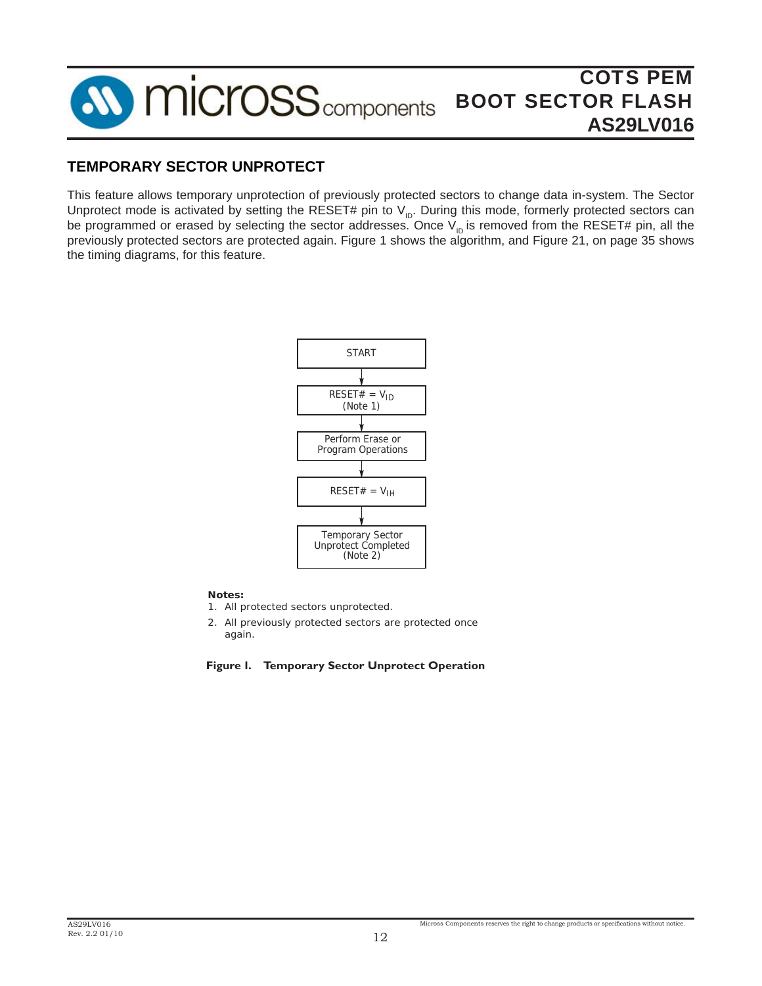

### **TEMPORARY SECTOR UNPROTECT**

This feature allows temporary unprotection of previously protected sectors to change data in-system. The Sector Unprotect mode is activated by setting the RESET# pin to  $V_{ID}$ . During this mode, formerly protected sectors can be programmed or erased by selecting the sector addresses. Once  $V_{\text{ID}}$  is removed from the RESET# pin, all the previously protected sectors are protected again. Figure 1 shows the algorithm, and Figure 21, on page 35 shows the timing diagrams, for this feature.



*Notes:*

*1. All protected sectors unprotected.*

*2. All previously protected sectors are protected once again.*

#### **Figure 1. Temporary Sector Unprotect Operation**

Micross Components reserves the right to change products or specifications without notice.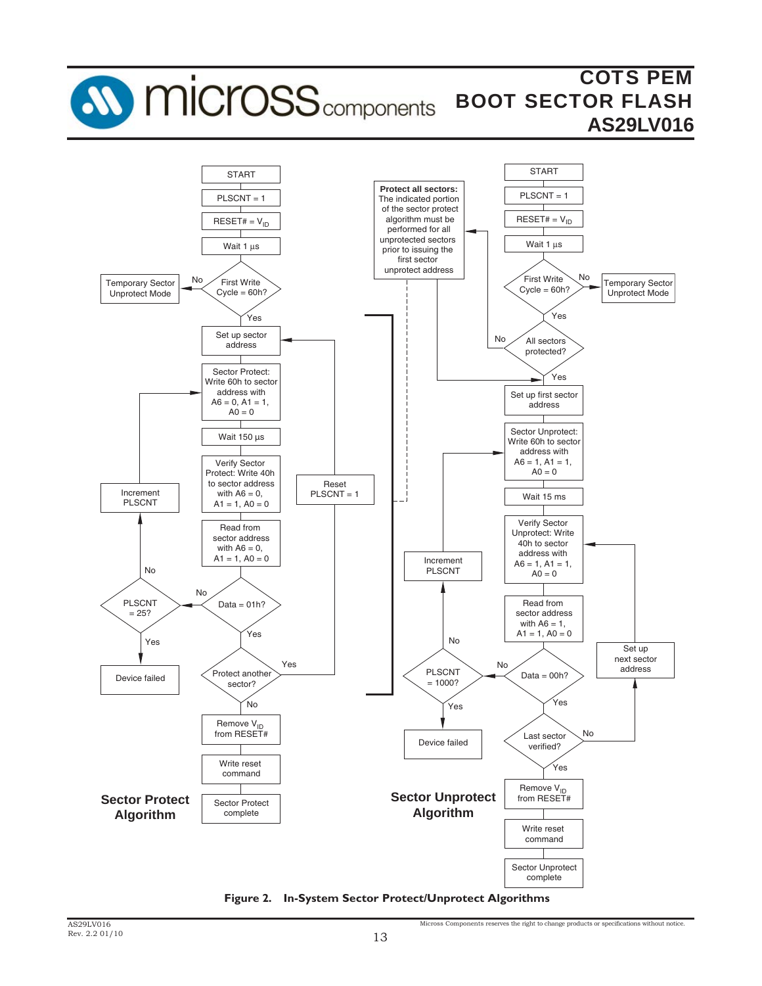

**Figure 2. In-System Sector Protect/Unprotect Algorithms**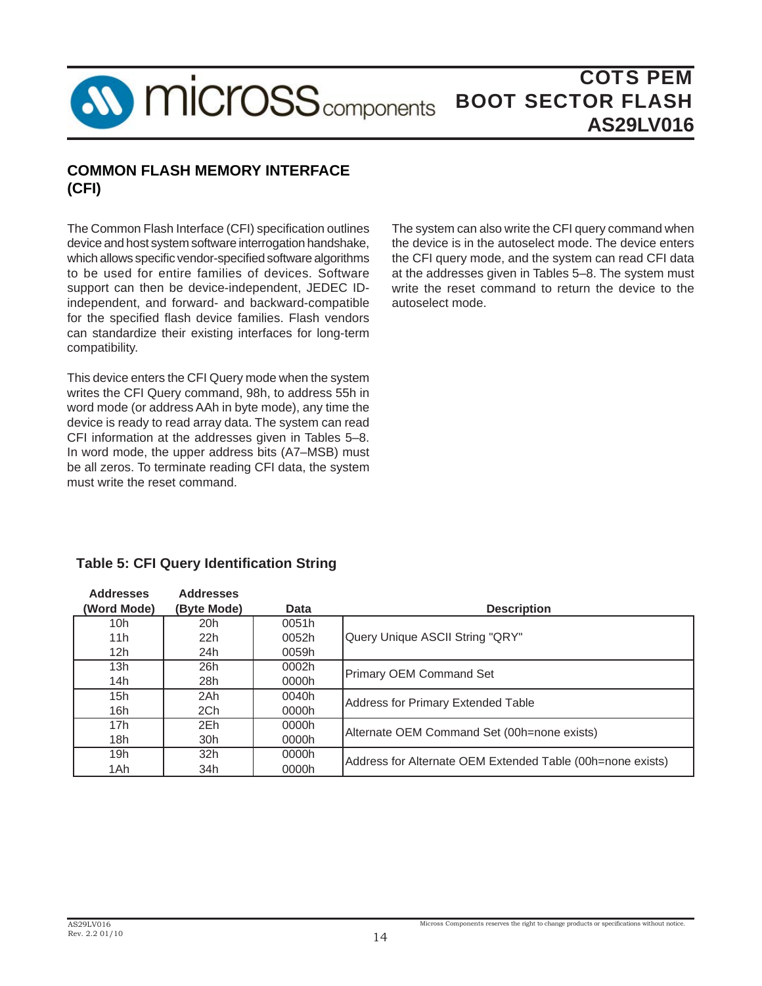

### **COMMON FLASH MEMORY INTERFACE (CFI)**

The Common Flash Interface (CFI) specification outlines device and host system software interrogation handshake, which allows specific vendor-specified software algorithms to be used for entire families of devices. Software support can then be device-independent, JEDEC IDindependent, and forward- and backward-compatible for the specified flash device families. Flash vendors can standardize their existing interfaces for long-term compatibility.

This device enters the CFI Query mode when the system writes the CFI Query command, 98h, to address 55h in word mode (or address AAh in byte mode), any time the device is ready to read array data. The system can read CFI information at the addresses given in Tables 5–8. In word mode, the upper address bits (A7–MSB) must be all zeros. To terminate reading CFI data, the system must write the reset command.

The system can also write the CFI query command when the device is in the autoselect mode. The device enters the CFI query mode, and the system can read CFI data at the addresses given in Tables 5–8. The system must write the reset command to return the device to the autoselect mode.

## **Table 5: CFI Query Identification String**

| <b>Addresses</b><br>(Word Mode) | <b>Addresses</b><br>(Byte Mode) | Data  | <b>Description</b>                                         |  |  |  |
|---------------------------------|---------------------------------|-------|------------------------------------------------------------|--|--|--|
| 10h                             | 20h                             | 0051h |                                                            |  |  |  |
| 11h                             | 22h                             | 0052h | Query Unique ASCII String "QRY"                            |  |  |  |
| 12h                             | 24h                             | 0059h |                                                            |  |  |  |
| 13h                             | 26h                             | 0002h |                                                            |  |  |  |
| 14h                             | 28h                             | 0000h | <b>Primary OEM Command Set</b>                             |  |  |  |
| 15h                             | 2Ah                             | 0040h | Address for Primary Extended Table                         |  |  |  |
| 16h                             | 2Ch                             | 0000h |                                                            |  |  |  |
| 17h                             | 2Eh                             | 0000h | Alternate OEM Command Set (00h=none exists)                |  |  |  |
| 18h                             | 30h                             | 0000h |                                                            |  |  |  |
| 19h                             | 32 <sub>h</sub>                 | 0000h |                                                            |  |  |  |
| 1Ah                             | 34h                             | 0000h | Address for Alternate OEM Extended Table (00h=none exists) |  |  |  |

Micross Components reserves the right to change products or specifications without notice.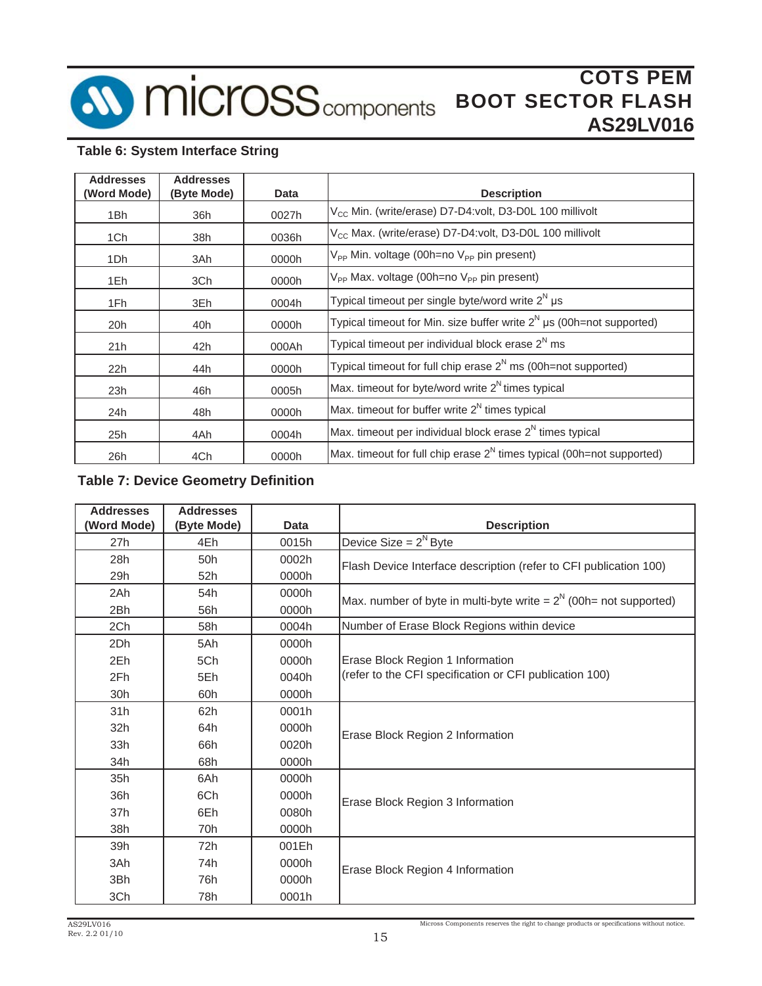

## **Table 6: System Interface String**

| <b>Addresses</b><br>(Word Mode) | <b>Addresses</b><br>(Byte Mode) | Data  | <b>Description</b>                                                       |
|---------------------------------|---------------------------------|-------|--------------------------------------------------------------------------|
| 1Bh                             | 36h                             | 0027h | V <sub>CC</sub> Min. (write/erase) D7-D4:volt, D3-D0L 100 millivolt      |
| 1Ch                             | 38h                             | 0036h | V <sub>CC</sub> Max. (write/erase) D7-D4:volt, D3-D0L 100 millivolt      |
| 1Dh                             | 3Ah                             | 0000h | $V_{PP}$ Min. voltage (00h=no $V_{PP}$ pin present)                      |
| 1Eh.                            | 3Ch                             | 0000h | $V_{PP}$ Max. voltage (00h=no $V_{PP}$ pin present)                      |
| 1Fh                             | 3Eh                             | 0004h | Typical timeout per single byte/word write $2^N \mu s$                   |
| 20h                             | 40h                             | 0000h | Typical timeout for Min. size buffer write $2^N$ µs (00h=not supported)  |
| 21h                             | 42h                             | 000Ah | Typical timeout per individual block erase $2^N$ ms                      |
| 22h                             | 44h                             | 0000h | Typical timeout for full chip erase $2^N$ ms (00h=not supported)         |
| 23h                             | 46h                             | 0005h | Max. timeout for byte/word write $2^N$ times typical                     |
| 24h                             | 48h                             | 0000h | Max. timeout for buffer write $2^N$ times typical                        |
| 25h                             | 4Ah                             | 0004h | Max. timeout per individual block erase $2^N$ times typical              |
| 26h                             | 4Ch                             | 0000h | Max. timeout for full chip erase $2^N$ times typical (00h=not supported) |

### **Table 7: Device Geometry Definition**

| <b>Addresses</b>  | <b>Addresses</b> |       |                                                                      |
|-------------------|------------------|-------|----------------------------------------------------------------------|
| <b>Word Mode)</b> | (Byte Mode)      | Data  | <b>Description</b>                                                   |
| 27h               | 4Eh              | 0015h | Device Size = $2^N$ Byte                                             |
| 28h               | 50h              | 0002h | Flash Device Interface description (refer to CFI publication 100)    |
| 29h               | 52h              | 0000h |                                                                      |
| 2Ah               | 54h              | 0000h | Max. number of byte in multi-byte write = $2^N$ (00h= not supported) |
| 2Bh               | 56h              | 0000h |                                                                      |
| 2Ch               | 58h              | 0004h | Number of Erase Block Regions within device                          |
| 2Dh               | 5Ah              | 0000h |                                                                      |
| 2Eh               | 5Ch              | 0000h | Erase Block Region 1 Information                                     |
| 2Fh               | 5Eh              | 0040h | (refer to the CFI specification or CFI publication 100)              |
| 30h               | 60h              | 0000h |                                                                      |
| 31h               | 62h              | 0001h |                                                                      |
| 32h               | 64h              | 0000h | Erase Block Region 2 Information                                     |
| 33h               | 66h              | 0020h |                                                                      |
| 34h               | 68h              | 0000h |                                                                      |
| 35h               | 6Ah              | 0000h |                                                                      |
| 36h               | 6Ch              | 0000h | Erase Block Region 3 Information                                     |
| 37h               | 6Eh              | 0080h |                                                                      |
| 38h               | 70h              | 0000h |                                                                      |
| 39h               | 72h              | 001Eh |                                                                      |
| 3Ah               | 74h              | 0000h | Erase Block Region 4 Information                                     |
| 3Bh               | 76h              | 0000h |                                                                      |
| 3Ch               | 78h              | 0001h |                                                                      |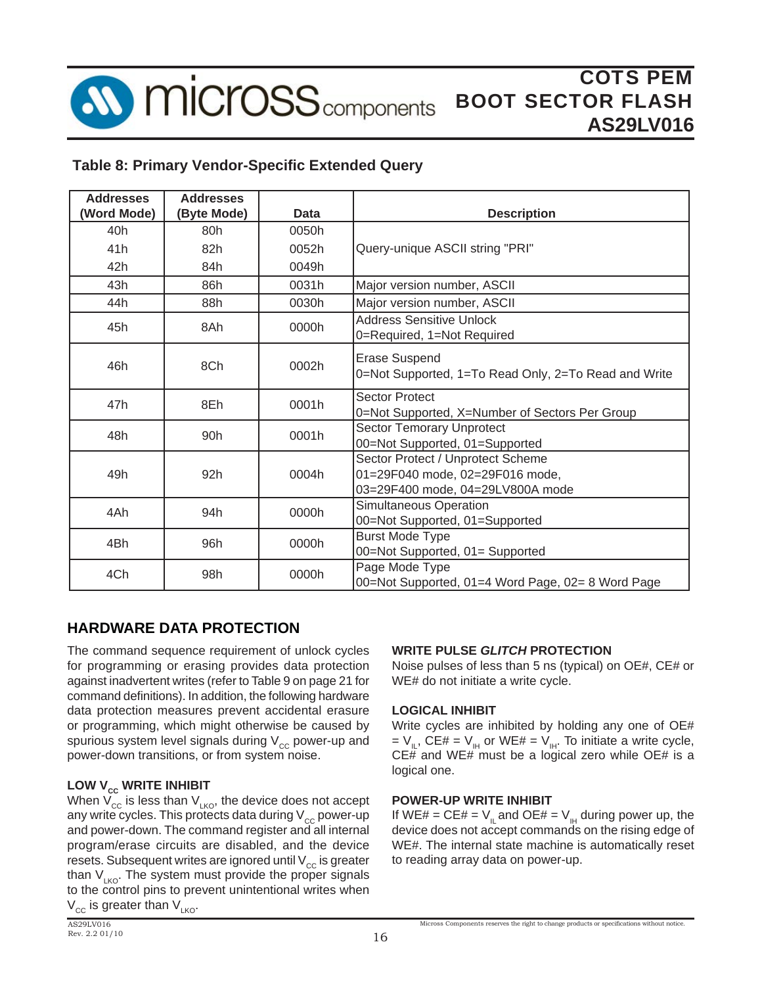

### **Table 8: Primary Vendor-Specific Extended Query**

| <b>Addresses</b> | <b>Addresses</b> |       |                                                                                                          |
|------------------|------------------|-------|----------------------------------------------------------------------------------------------------------|
| (Word Mode)      | (Byte Mode)      | Data  | <b>Description</b>                                                                                       |
| 40h              | 80h              | 0050h |                                                                                                          |
| 41h              | 82h              | 0052h | Query-unique ASCII string "PRI"                                                                          |
| 42h              | 84h              | 0049h |                                                                                                          |
| 43h              | 86h              | 0031h | Major version number, ASCII                                                                              |
| 44h              | 88h              | 0030h | Major version number, ASCII                                                                              |
| 45h              | 8Ah              | 0000h | Address Sensitive Unlock<br>0=Required, 1=Not Required                                                   |
| 46h              | 8Ch              | 0002h | <b>Erase Suspend</b><br>0=Not Supported, 1=To Read Only, 2=To Read and Write                             |
| 47h              | 8Eh              | 0001h | <b>Sector Protect</b><br>0=Not Supported, X=Number of Sectors Per Group                                  |
| 48h              | 90h              | 0001h | <b>Sector Temorary Unprotect</b><br>00=Not Supported, 01=Supported                                       |
| 49h              | 92h              | 0004h | Sector Protect / Unprotect Scheme<br>01=29F040 mode, 02=29F016 mode,<br>03=29F400 mode, 04=29LV800A mode |
| 4Ah              | 94h              | 0000h | <b>Simultaneous Operation</b><br>00=Not Supported, 01=Supported                                          |
| 4Bh              | 96h              | 0000h | <b>Burst Mode Type</b><br>00=Not Supported, 01= Supported                                                |
| 4Ch              | 98h              | 0000h | Page Mode Type<br>00=Not Supported, 01=4 Word Page, 02= 8 Word Page                                      |

## **HARDWARE DATA PROTECTION**

The command sequence requirement of unlock cycles for programming or erasing provides data protection against inadvertent writes (refer to Table 9 on page 21 for command definitions). In addition, the following hardware data protection measures prevent accidental erasure or programming, which might otherwise be caused by spurious system level signals during  $V_{cc}$  power-up and power-down transitions, or from system noise.

### **LOW V<sub>cc</sub> WRITE INHIBIT**

When  $V_{cc}$  is less than  $V_{LKO}$ , the device does not accept any write cycles. This protects data during  $V_{cc}$  power-up and power-down. The command register and all internal program/erase circuits are disabled, and the device resets. Subsequent writes are ignored until  $V_{cc}$  is greater than  $V_{LKO}$ . The system must provide the proper signals to the control pins to prevent unintentional writes when  $V_{cc}$  is greater than  $V_{LKO}$ .

### **WRITE PULSE** *GLITCH* **PROTECTION**

Noise pulses of less than 5 ns (typical) on OE#, CE# or WE# do not initiate a write cycle.

#### **LOGICAL INHIBIT**

Write cycles are inhibited by holding any one of OE# =  $V_{II}$ , CE# =  $V_{II}$  or WE# =  $V_{III}$ . To initiate a write cycle, CE# and WE# must be a logical zero while OE# is a logical one.

#### **POWER-UP WRITE INHIBIT**

If WE# = CE# =  $V_{\parallel}$  and OE# =  $V_{\parallel}$  during power up, the device does not accept commands on the rising edge of WE#. The internal state machine is automatically reset to reading array data on power-up.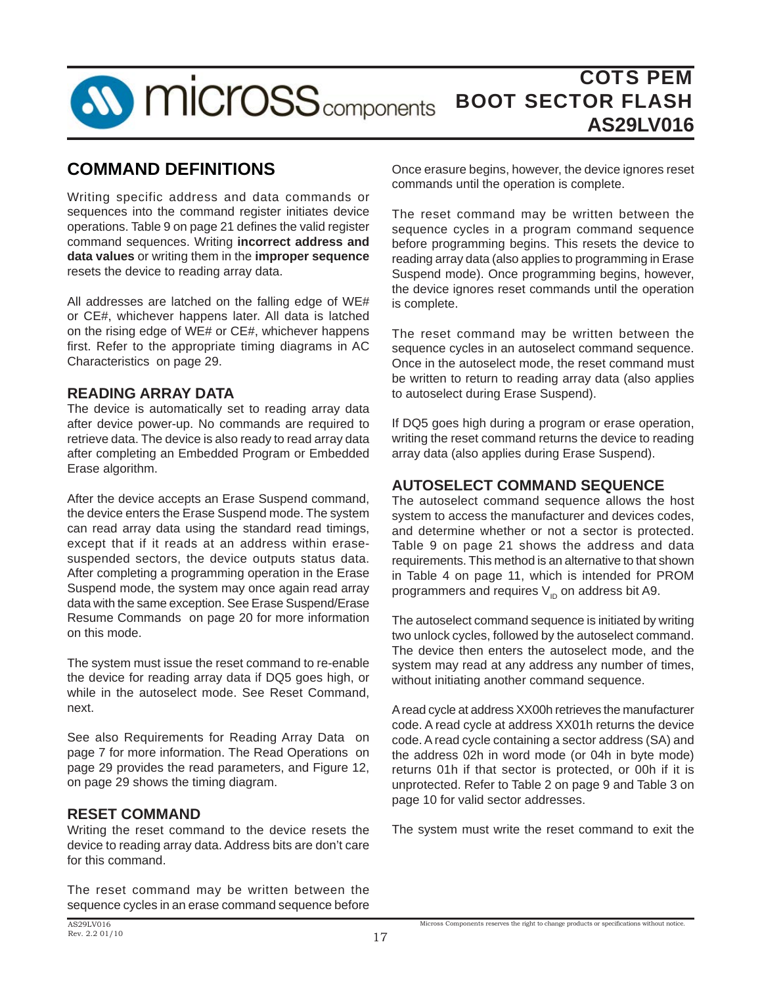

## **COMMAND DEFINITIONS**

Writing specific address and data commands or sequences into the command register initiates device operations. Table 9 on page 21 defines the valid register command sequences. Writing **incorrect address and data values** or writing them in the **improper sequence** resets the device to reading array data.

All addresses are latched on the falling edge of WE# or CE#, whichever happens later. All data is latched on the rising edge of WE# or CE#, whichever happens first. Refer to the appropriate timing diagrams in AC Characteristics on page 29.

### **READING ARRAY DATA**

The device is automatically set to reading array data after device power-up. No commands are required to retrieve data. The device is also ready to read array data after completing an Embedded Program or Embedded Erase algorithm.

After the device accepts an Erase Suspend command, the device enters the Erase Suspend mode. The system can read array data using the standard read timings, except that if it reads at an address within erasesuspended sectors, the device outputs status data. After completing a programming operation in the Erase Suspend mode, the system may once again read array data with the same exception. See Erase Suspend/Erase Resume Commands on page 20 for more information on this mode.

The system must issue the reset command to re-enable the device for reading array data if DQ5 goes high, or while in the autoselect mode. See Reset Command, next.

See also Requirements for Reading Array Data on page 7 for more information. The Read Operations on page 29 provides the read parameters, and Figure 12, on page 29 shows the timing diagram.

### **RESET COMMAND**

Writing the reset command to the device resets the device to reading array data. Address bits are don't care for this command.

The reset command may be written between the sequence cycles in an erase command sequence before

Once erasure begins, however, the device ignores reset commands until the operation is complete.

The reset command may be written between the sequence cycles in a program command sequence before programming begins. This resets the device to reading array data (also applies to programming in Erase Suspend mode). Once programming begins, however, the device ignores reset commands until the operation is complete.

The reset command may be written between the sequence cycles in an autoselect command sequence. Once in the autoselect mode, the reset command must be written to return to reading array data (also applies to autoselect during Erase Suspend).

If DQ5 goes high during a program or erase operation, writing the reset command returns the device to reading array data (also applies during Erase Suspend).

## **AUTOSELECT COMMAND SEQUENCE**

The autoselect command sequence allows the host system to access the manufacturer and devices codes, and determine whether or not a sector is protected. Table 9 on page 21 shows the address and data requirements. This method is an alternative to that shown in Table 4 on page 11, which is intended for PROM programmers and requires  $V_{\text{in}}$  on address bit A9.

The autoselect command sequence is initiated by writing two unlock cycles, followed by the autoselect command. The device then enters the autoselect mode, and the system may read at any address any number of times, without initiating another command sequence.

A read cycle at address XX00h retrieves the manufacturer code. A read cycle at address XX01h returns the device code. A read cycle containing a sector address (SA) and the address 02h in word mode (or 04h in byte mode) returns 01h if that sector is protected, or 00h if it is unprotected. Refer to Table 2 on page 9 and Table 3 on page 10 for valid sector addresses.

The system must write the reset command to exit the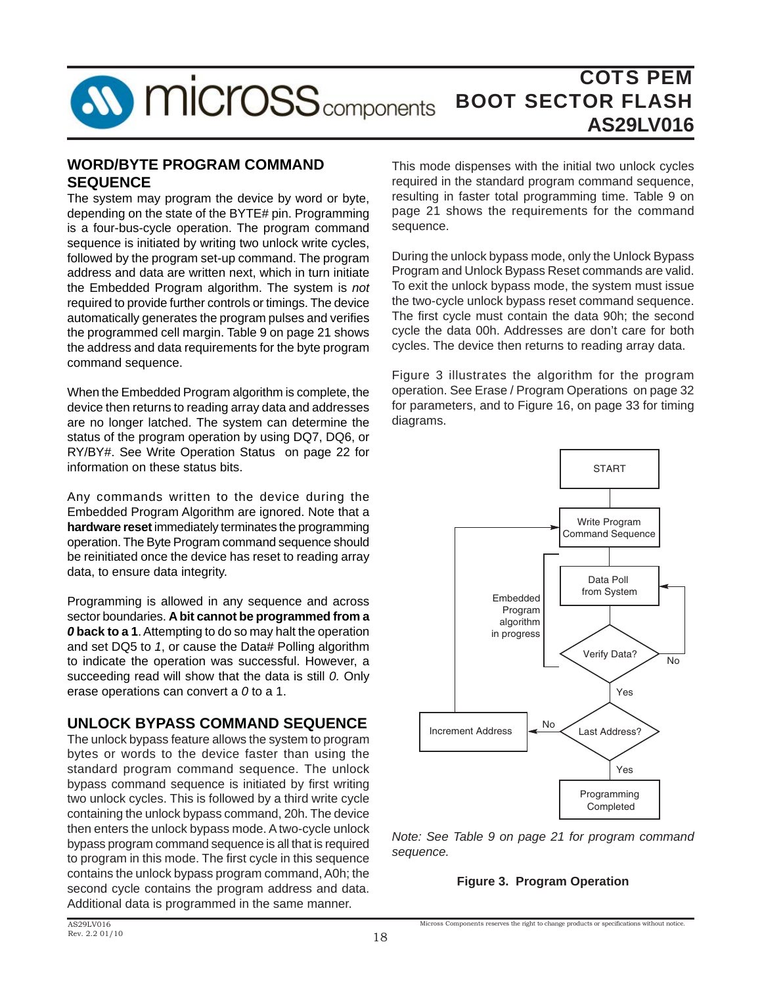

### **WORD/BYTE PROGRAM COMMAND SEQUENCE**

The system may program the device by word or byte, depending on the state of the BYTE# pin. Programming is a four-bus-cycle operation. The program command sequence is initiated by writing two unlock write cycles, followed by the program set-up command. The program address and data are written next, which in turn initiate the Embedded Program algorithm. The system is *not* required to provide further controls or timings. The device automatically generates the program pulses and verifies the programmed cell margin. Table 9 on page 21 shows the address and data requirements for the byte program command sequence.

When the Embedded Program algorithm is complete, the device then returns to reading array data and addresses are no longer latched. The system can determine the status of the program operation by using DQ7, DQ6, or RY/BY#. See Write Operation Status on page 22 for information on these status bits.

Any commands written to the device during the Embedded Program Algorithm are ignored. Note that a **hardware reset** immediately terminates the programming operation. The Byte Program command sequence should be reinitiated once the device has reset to reading array data, to ensure data integrity.

Programming is allowed in any sequence and across sector boundaries. **A bit cannot be programmed from a**  *0* **back to a 1**. Attempting to do so may halt the operation and set DQ5 to *1*, or cause the Data# Polling algorithm to indicate the operation was successful. However, a succeeding read will show that the data is still *0.* Only erase operations can convert a *0* to a 1.

### **UNLOCK BYPASS COMMAND SEQUENCE**

The unlock bypass feature allows the system to program bytes or words to the device faster than using the standard program command sequence. The unlock bypass command sequence is initiated by first writing two unlock cycles. This is followed by a third write cycle containing the unlock bypass command, 20h. The device then enters the unlock bypass mode. A two-cycle unlock bypass program command sequence is all that is required to program in this mode. The first cycle in this sequence contains the unlock bypass program command, A0h; the second cycle contains the program address and data. Additional data is programmed in the same manner.

This mode dispenses with the initial two unlock cycles required in the standard program command sequence, resulting in faster total programming time. Table 9 on page 21 shows the requirements for the command sequence.

During the unlock bypass mode, only the Unlock Bypass Program and Unlock Bypass Reset commands are valid. To exit the unlock bypass mode, the system must issue the two-cycle unlock bypass reset command sequence. The first cycle must contain the data 90h; the second cycle the data 00h. Addresses are don't care for both cycles. The device then returns to reading array data.

Figure 3 illustrates the algorithm for the program operation. See Erase / Program Operations on page 32 for parameters, and to Figure 16, on page 33 for timing diagrams.



*Note: See Table 9 on page 21 for program command sequence.*

### **Figure 3. Program Operation**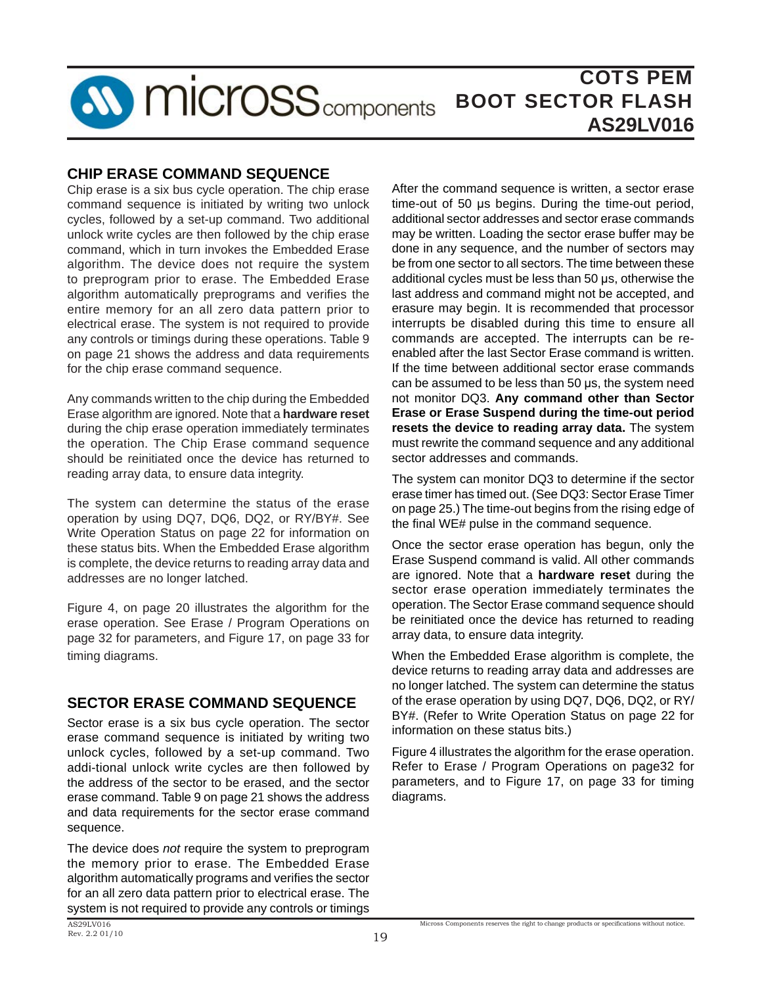

### **CHIP ERASE COMMAND SEQUENCE**

Chip erase is a six bus cycle operation. The chip erase command sequence is initiated by writing two unlock cycles, followed by a set-up command. Two additional unlock write cycles are then followed by the chip erase command, which in turn invokes the Embedded Erase algorithm. The device does not require the system to preprogram prior to erase. The Embedded Erase algorithm automatically preprograms and verifies the entire memory for an all zero data pattern prior to electrical erase. The system is not required to provide any controls or timings during these operations. Table 9 on page 21 shows the address and data requirements for the chip erase command sequence.

Any commands written to the chip during the Embedded Erase algorithm are ignored. Note that a **hardware reset** during the chip erase operation immediately terminates the operation. The Chip Erase command sequence should be reinitiated once the device has returned to reading array data, to ensure data integrity.

The system can determine the status of the erase operation by using DQ7, DQ6, DQ2, or RY/BY#. See Write Operation Status on page 22 for information on these status bits. When the Embedded Erase algorithm is complete, the device returns to reading array data and addresses are no longer latched.

Figure 4, on page 20 illustrates the algorithm for the erase operation. See Erase / Program Operations on page 32 for parameters, and Figure 17, on page 33 for timing diagrams.

### **SECTOR ERASE COMMAND SEQUENCE**

Sector erase is a six bus cycle operation. The sector erase command sequence is initiated by writing two unlock cycles, followed by a set-up command. Two addi-tional unlock write cycles are then followed by the address of the sector to be erased, and the sector erase command. Table 9 on page 21 shows the address and data requirements for the sector erase command sequence.

The device does *not* require the system to preprogram the memory prior to erase. The Embedded Erase algorithm automatically programs and verifies the sector for an all zero data pattern prior to electrical erase. The system is not required to provide any controls or timings

After the command sequence is written, a sector erase time-out of 50 μs begins. During the time-out period, additional sector addresses and sector erase commands may be written. Loading the sector erase buffer may be done in any sequence, and the number of sectors may be from one sector to all sectors. The time between these additional cycles must be less than 50 μs, otherwise the last address and command might not be accepted, and erasure may begin. It is recommended that processor interrupts be disabled during this time to ensure all commands are accepted. The interrupts can be reenabled after the last Sector Erase command is written. If the time between additional sector erase commands can be assumed to be less than 50 μs, the system need not monitor DQ3. **Any command other than Sector Erase or Erase Suspend during the time-out period resets the device to reading array data.** The system must rewrite the command sequence and any additional sector addresses and commands.

The system can monitor DQ3 to determine if the sector erase timer has timed out. (See DQ3: Sector Erase Timer on page 25.) The time-out begins from the rising edge of the final WE# pulse in the command sequence.

Once the sector erase operation has begun, only the Erase Suspend command is valid. All other commands are ignored. Note that a **hardware reset** during the sector erase operation immediately terminates the operation. The Sector Erase command sequence should be reinitiated once the device has returned to reading array data, to ensure data integrity.

When the Embedded Erase algorithm is complete, the device returns to reading array data and addresses are no longer latched. The system can determine the status of the erase operation by using DQ7, DQ6, DQ2, or RY/ BY#. (Refer to Write Operation Status on page 22 for information on these status bits.)

Figure 4 illustrates the algorithm for the erase operation. Refer to Erase / Program Operations on page32 for parameters, and to Figure 17, on page 33 for timing diagrams.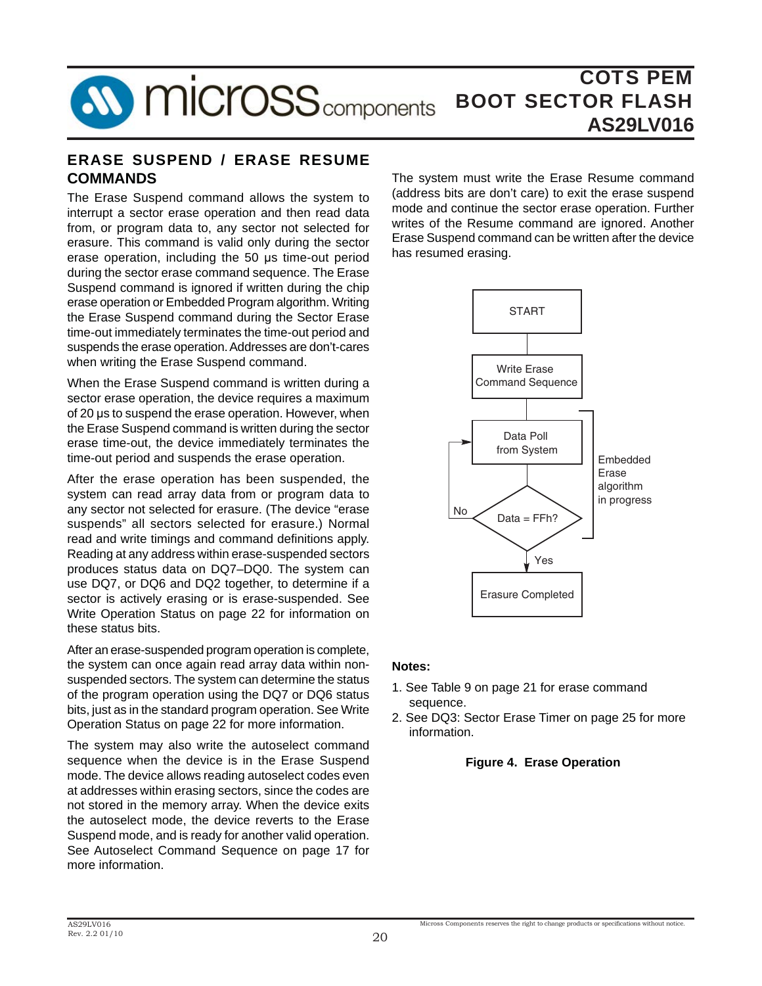

### **ERASE SUSPEND / ERASE RESUME COMMANDS**

The Erase Suspend command allows the system to interrupt a sector erase operation and then read data from, or program data to, any sector not selected for erasure. This command is valid only during the sector erase operation, including the 50 μs time-out period during the sector erase command sequence. The Erase Suspend command is ignored if written during the chip erase operation or Embedded Program algorithm. Writing the Erase Suspend command during the Sector Erase time-out immediately terminates the time-out period and suspends the erase operation. Addresses are don't-cares when writing the Erase Suspend command.

When the Erase Suspend command is written during a sector erase operation, the device requires a maximum of 20 μs to suspend the erase operation. However, when the Erase Suspend command is written during the sector erase time-out, the device immediately terminates the time-out period and suspends the erase operation.

After the erase operation has been suspended, the system can read array data from or program data to any sector not selected for erasure. (The device "erase suspends" all sectors selected for erasure.) Normal read and write timings and command definitions apply. Reading at any address within erase-suspended sectors produces status data on DQ7–DQ0. The system can use DQ7, or DQ6 and DQ2 together, to determine if a sector is actively erasing or is erase-suspended. See Write Operation Status on page 22 for information on these status bits.

After an erase-suspended program operation is complete, the system can once again read array data within nonsuspended sectors. The system can determine the status of the program operation using the DQ7 or DQ6 status bits, just as in the standard program operation. See Write Operation Status on page 22 for more information.

The system may also write the autoselect command sequence when the device is in the Erase Suspend mode. The device allows reading autoselect codes even at addresses within erasing sectors, since the codes are not stored in the memory array. When the device exits the autoselect mode, the device reverts to the Erase Suspend mode, and is ready for another valid operation. See Autoselect Command Sequence on page 17 for more information.

The system must write the Erase Resume command (address bits are don't care) to exit the erase suspend mode and continue the sector erase operation. Further writes of the Resume command are ignored. Another Erase Suspend command can be written after the device has resumed erasing.



#### **Notes:**

- 1. See Table 9 on page 21 for erase command sequence.
- 2. See DQ3: Sector Erase Timer on page 25 for more information.

#### **Figure 4. Erase Operation**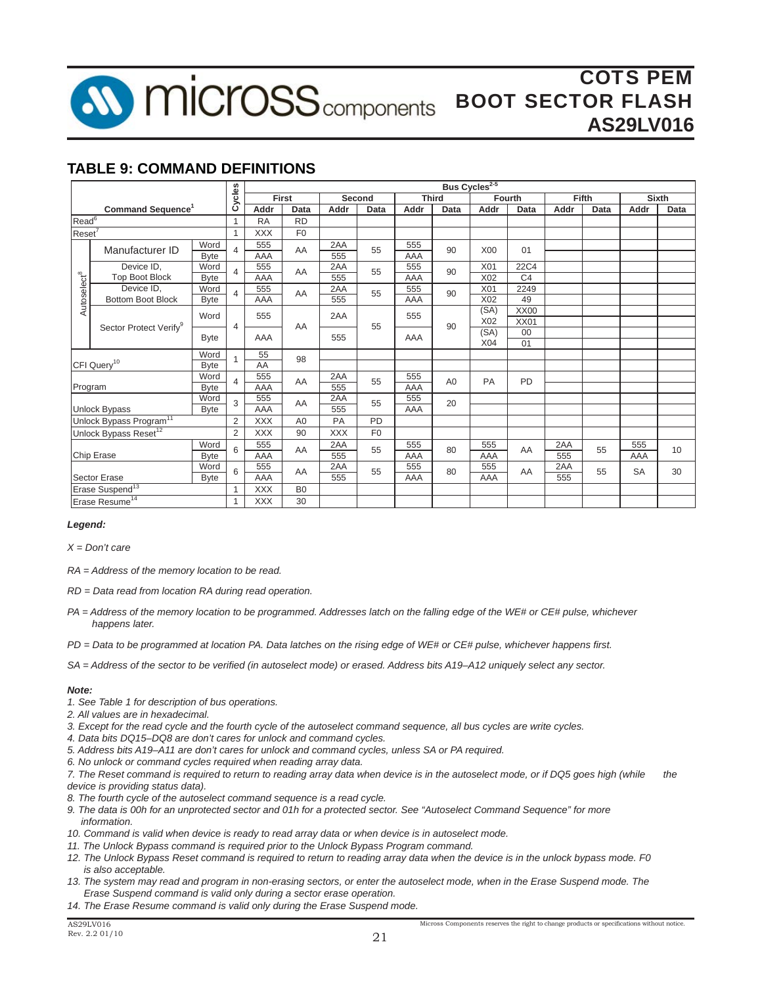

## **TABLE 9: COMMAND DEFINITIONS**

|                         |                                     |             | Cycles         |            |                | Bus Cycles <sup>2-5</sup> |                |            |                |            |                |       |      |           |              |
|-------------------------|-------------------------------------|-------------|----------------|------------|----------------|---------------------------|----------------|------------|----------------|------------|----------------|-------|------|-----------|--------------|
|                         |                                     |             |                |            | First          |                           | Second         |            | <b>Third</b>   |            | <b>Fourth</b>  | Fifth |      |           | <b>Sixth</b> |
|                         | Command Sequence <sup>1</sup>       |             |                | Addr       | Data           | Addr                      | Data           | Addr       | Data           | Addr       | Data           | Addr  | Data | Addr      | Data         |
| Read <sup>6</sup>       |                                     |             | $\mathbf{1}$   | <b>RA</b>  | <b>RD</b>      |                           |                |            |                |            |                |       |      |           |              |
| $Reset^7$               |                                     |             | 1              | <b>XXX</b> | F <sub>0</sub> |                           |                |            |                |            |                |       |      |           |              |
|                         |                                     | Word        | $\overline{4}$ | 555        | AA             | 2AA                       | 55             | 555        | 90             | X00        | 01             |       |      |           |              |
|                         | Manufacturer ID                     | <b>Byte</b> |                | AAA        |                | 555                       |                | AAA        |                |            |                |       |      |           |              |
|                         | Device ID.                          | Word        | $\overline{4}$ | 555        | AA             | 2AA                       | 55             | 555        | 90             | X01        | 22C4           |       |      |           |              |
|                         | Top Boot Block                      | <b>Byte</b> |                | AAA        |                | 555                       |                | AAA        |                | X02        | C <sub>4</sub> |       |      |           |              |
| Autoselect <sup>8</sup> | Device ID.                          | Word        | 4              | 555        | AA             | 2AA                       | 55             | 555        | 90             | X01        | 2249           |       |      |           |              |
|                         | <b>Bottom Boot Block</b>            | <b>Byte</b> |                | AAA        |                | 555                       |                | AAA        |                | X02        | 49             |       |      |           |              |
|                         |                                     | Word        | 4              | 555        |                | 2AA                       |                | 555        |                | (SA)       | XX00           |       |      |           |              |
|                         | Sector Protect Verify <sup>9</sup>  |             |                |            | AA             |                           | 55             |            | 90             | X02        | XX01           |       |      |           |              |
|                         |                                     | <b>Byte</b> |                | AAA        |                | 555                       |                | AAA        |                | (SA)       | 00             |       |      |           |              |
|                         |                                     |             |                |            |                |                           |                |            |                | X04        | 01             |       |      |           |              |
|                         | Word                                |             |                | 55         | 98             |                           |                |            |                |            |                |       |      |           |              |
|                         | CFI Query <sup>10</sup>             | <b>Byte</b> |                | AA         |                |                           |                |            |                |            |                |       |      |           |              |
|                         |                                     | Word        | $\overline{4}$ | 555        | AA             | 2AA                       | 55             | 555        | A <sub>0</sub> | <b>PA</b>  | <b>PD</b>      |       |      |           |              |
| Program                 |                                     | <b>Byte</b> |                | AAA        |                | 555                       |                | AAA        |                |            |                |       |      |           |              |
|                         |                                     | Word        | 3              | 555        | AA             | 2AA                       | 55             | 555<br>AAA | 20             |            |                |       |      |           |              |
|                         | <b>Unlock Bypass</b>                | <b>Byte</b> | 2              | AAA        |                | 555                       | <b>PD</b>      |            |                |            |                |       |      |           |              |
|                         | Unlock Bypass Program <sup>11</sup> |             |                | <b>XXX</b> | A <sub>0</sub> | PA                        |                |            |                |            |                |       |      |           |              |
|                         | Unlock Bypass Reset <sup>12</sup>   |             | 2              | <b>XXX</b> | 90             | <b>XXX</b>                | F <sub>0</sub> |            |                |            |                |       |      |           |              |
|                         |                                     | Word        | 6              | 555        | AA             | 2AA                       | 55             | 555        | 80             | 555        | AA             | 2AA   | 55   | 555       | 10           |
|                         | <b>Byte</b><br>Chip Erase           |             |                | AAA        |                | 555                       |                | AAA        |                | AAA        |                | 555   |      | AAA       |              |
|                         | Word                                |             | 6              | 555<br>AAA | AA             | 2AA                       | 55             | 555<br>AAA | 80             | 555<br>AAA | AA             | 2AA   | 55   | <b>SA</b> | 30           |
|                         | <b>Sector Erase</b>                 | <b>Byte</b> |                |            |                | 555                       |                |            |                |            |                | 555   |      |           |              |
|                         | Erase Suspend <sup>13</sup>         |             | $\overline{1}$ | <b>XXX</b> | B <sub>0</sub> |                           |                |            |                |            |                |       |      |           |              |
|                         | Erase Resume <sup>14</sup>          |             |                | <b>XXX</b> | 30             |                           |                |            |                |            |                |       |      |           |              |

#### *Legend:*

*X = Don't care*

*RA = Address of the memory location to be read.* 

*RD = Data read from location RA during read operation.*

*PA = Address of the memory location to be programmed. Addresses latch on the falling edge of the WE# or CE# pulse, whichever happens later.*

*PD* = Data to be programmed at location PA. Data latches on the rising edge of WE# or CE# pulse, whichever happens first.

*SA = Address of the sector to be verifi ed (in autoselect mode) or erased. Address bits A19–A12 uniquely select any sector.*

#### *Note:*

- *1. See Table 1 for description of bus operations.*
- *2. All values are in hexadecimal.*
- *3. Except for the read cycle and the fourth cycle of the autoselect command sequence, all bus cycles are write cycles.*
- *4. Data bits DQ15–DQ8 are don't cares for unlock and command cycles.*
- *5. Address bits A19–A11 are don't cares for unlock and command cycles, unless SA or PA required.*
- *6. No unlock or command cycles required when reading array data.*

7. The Reset command is required to return to reading array data when device is in the autoselect mode, or if DQ5 goes high (while the *device is providing status data).* 

- *8. The fourth cycle of the autoselect command sequence is a read cycle.*
- *9. The data is 00h for an unprotected sector and 01h for a protected sector. See "Autoselect Command Sequence" for more information.*
- *10. Command is valid when device is ready to read array data or when device is in autoselect mode.*
- 11. The Unlock Bypass command is required prior to the Unlock Bypass Program command.
- *12. The Unlock Bypass Reset command is required to return to reading array data when the device is in the unlock bypass mode. F0 is also acceptable.*
- *13. The system may read and program in non-erasing sectors, or enter the autoselect mode, when in the Erase Suspend mode. The Erase Suspend command is valid only during a sector erase operation.*
- *14. The Erase Resume command is valid only during the Erase Suspend mode.*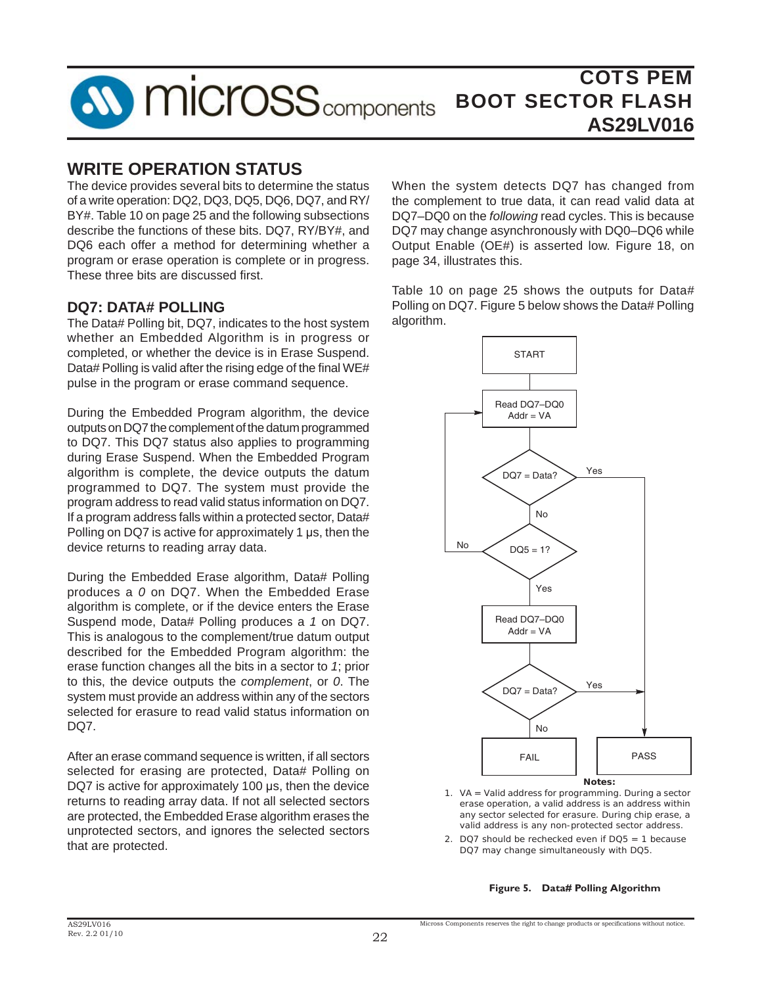

## **WRITE OPERATION STATUS**

The device provides several bits to determine the status of a write operation: DQ2, DQ3, DQ5, DQ6, DQ7, and RY/ BY#. Table 10 on page 25 and the following subsections describe the functions of these bits. DQ7, RY/BY#, and DQ6 each offer a method for determining whether a program or erase operation is complete or in progress. These three bits are discussed first.

### **DQ7: DATA# POLLING**

The Data# Polling bit, DQ7, indicates to the host system whether an Embedded Algorithm is in progress or completed, or whether the device is in Erase Suspend. Data# Polling is valid after the rising edge of the final WE# pulse in the program or erase command sequence.

During the Embedded Program algorithm, the device outputs on DQ7 the complement of the datum programmed to DQ7. This DQ7 status also applies to programming during Erase Suspend. When the Embedded Program algorithm is complete, the device outputs the datum programmed to DQ7. The system must provide the program address to read valid status information on DQ7. If a program address falls within a protected sector, Data# Polling on DQ7 is active for approximately 1 μs, then the device returns to reading array data.

During the Embedded Erase algorithm, Data# Polling produces a *0* on DQ7. When the Embedded Erase algorithm is complete, or if the device enters the Erase Suspend mode, Data# Polling produces a *1* on DQ7. This is analogous to the complement/true datum output described for the Embedded Program algorithm: the erase function changes all the bits in a sector to *1*; prior to this, the device outputs the *complement*, or *0*. The system must provide an address within any of the sectors selected for erasure to read valid status information on DQ7.

After an erase command sequence is written, if all sectors selected for erasing are protected, Data# Polling on DQ7 is active for approximately 100 μs, then the device returns to reading array data. If not all selected sectors are protected, the Embedded Erase algorithm erases the unprotected sectors, and ignores the selected sectors that are protected.

When the system detects DQ7 has changed from the complement to true data, it can read valid data at DQ7–DQ0 on the *following* read cycles. This is because DQ7 may change asynchronously with DQ0–DQ6 while Output Enable (OE#) is asserted low. Figure 18, on page 34, illustrates this.

Table 10 on page 25 shows the outputs for Data# Polling on DQ7. Figure 5 below shows the Data# Polling algorithm.



- *1. VA = Valid address for programming. During a sector erase operation, a valid address is an address within any sector selected for erasure. During chip erase, a valid address is any non-protected sector address.*
- *2. DQ7 should be rechecked even if DQ5 =* 1 *because DQ7 may change simultaneously with DQ5.*

**Figure 5. Data# Polling Algorithm**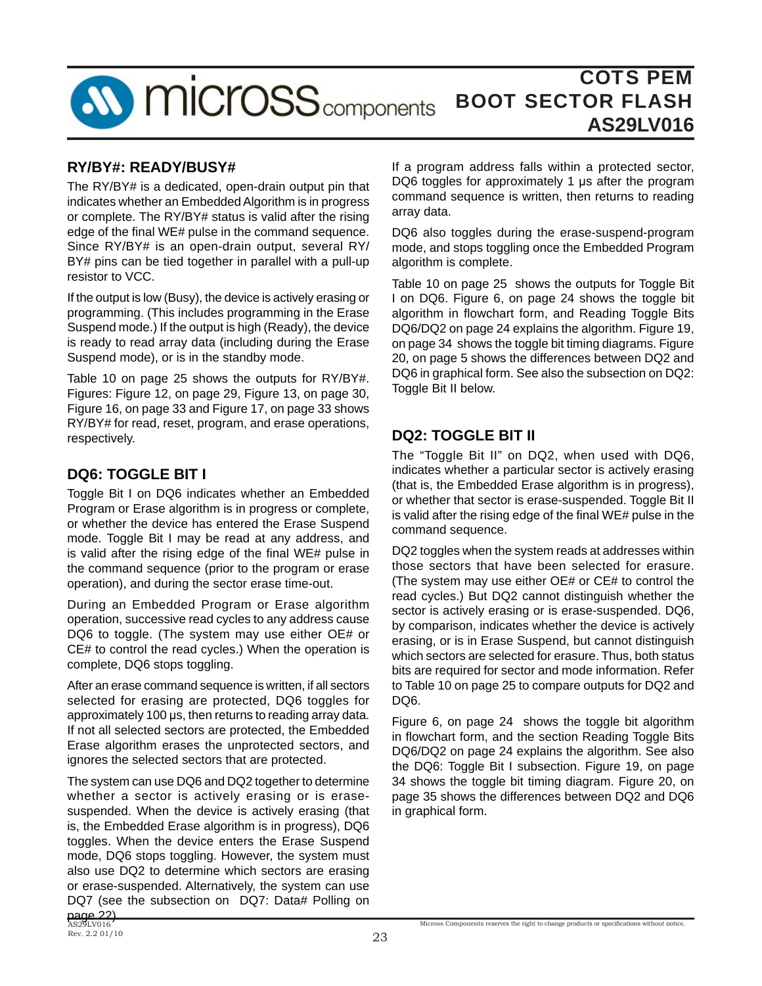

### **RY/BY#: READY/BUSY#**

The RY/BY# is a dedicated, open-drain output pin that indicates whether an Embedded Algorithm is in progress or complete. The RY/BY# status is valid after the rising edge of the final WE# pulse in the command sequence. Since RY/BY# is an open-drain output, several RY/ BY# pins can be tied together in parallel with a pull-up resistor to VCC.

If the output is low (Busy), the device is actively erasing or programming. (This includes programming in the Erase Suspend mode.) If the output is high (Ready), the device is ready to read array data (including during the Erase Suspend mode), or is in the standby mode.

Table 10 on page 25 shows the outputs for RY/BY#. Figures: Figure 12, on page 29, Figure 13, on page 30, Figure 16, on page 33 and Figure 17, on page 33 shows RY/BY# for read, reset, program, and erase operations, respectively.

### **DQ6: TOGGLE BIT I**

Toggle Bit I on DQ6 indicates whether an Embedded Program or Erase algorithm is in progress or complete, or whether the device has entered the Erase Suspend mode. Toggle Bit I may be read at any address, and is valid after the rising edge of the final WE# pulse in the command sequence (prior to the program or erase operation), and during the sector erase time-out.

During an Embedded Program or Erase algorithm operation, successive read cycles to any address cause DQ6 to toggle. (The system may use either OE# or CE# to control the read cycles.) When the operation is complete, DQ6 stops toggling.

After an erase command sequence is written, if all sectors selected for erasing are protected, DQ6 toggles for approximately 100 μs, then returns to reading array data. If not all selected sectors are protected, the Embedded Erase algorithm erases the unprotected sectors, and ignores the selected sectors that are protected.

The system can use DQ6 and DQ2 together to determine whether a sector is actively erasing or is erasesuspended. When the device is actively erasing (that is, the Embedded Erase algorithm is in progress), DQ6 toggles. When the device enters the Erase Suspend mode, DQ6 stops toggling. However, the system must also use DQ2 to determine which sectors are erasing or erase-suspended. Alternatively, the system can use DQ7 (see the subsection on DQ7: Data# Polling on

If a program address falls within a protected sector, DQ6 toggles for approximately 1 μs after the program command sequence is written, then returns to reading array data.

DQ6 also toggles during the erase-suspend-program mode, and stops toggling once the Embedded Program algorithm is complete.

Table 10 on page 25 shows the outputs for Toggle Bit I on DQ6. Figure 6, on page 24 shows the toggle bit algorithm in flowchart form, and Reading Toggle Bits DQ6/DQ2 on page 24 explains the algorithm. Figure 19, on page 34 shows the toggle bit timing diagrams. Figure 20, on page 5 shows the differences between DQ2 and DQ6 in graphical form. See also the subsection on DQ2: Toggle Bit II below.

### **DQ2: TOGGLE BIT II**

The "Toggle Bit II" on DQ2, when used with DQ6, indicates whether a particular sector is actively erasing (that is, the Embedded Erase algorithm is in progress), or whether that sector is erase-suspended. Toggle Bit II is valid after the rising edge of the final  $WE#$  pulse in the command sequence.

DQ2 toggles when the system reads at addresses within those sectors that have been selected for erasure. (The system may use either OE# or CE# to control the read cycles.) But DQ2 cannot distinguish whether the sector is actively erasing or is erase-suspended. DQ6, by comparison, indicates whether the device is actively erasing, or is in Erase Suspend, but cannot distinguish which sectors are selected for erasure. Thus, both status bits are required for sector and mode information. Refer to Table 10 on page 25 to compare outputs for DQ2 and DQ<sub>6</sub>.

Figure 6, on page 24 shows the toggle bit algorithm in flowchart form, and the section Reading Toggle Bits DQ6/DQ2 on page 24 explains the algorithm. See also the DQ6: Toggle Bit I subsection. Figure 19, on page 34 shows the toggle bit timing diagram. Figure 20, on page 35 shows the differences between DQ2 and DQ6 in graphical form.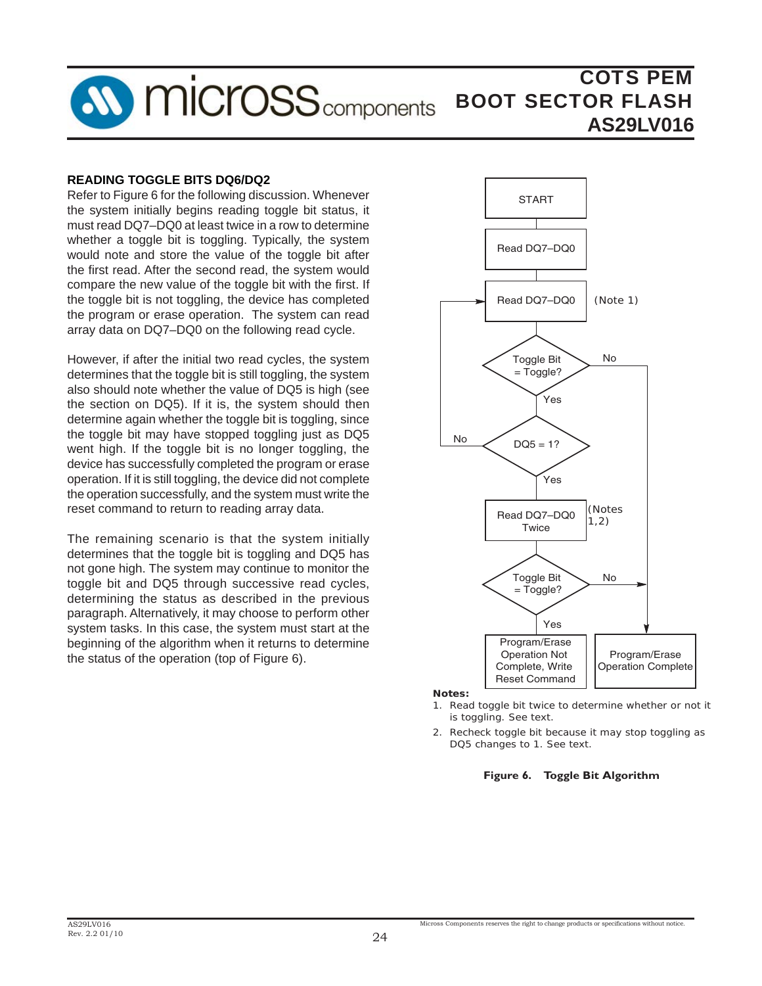

#### **READING TOGGLE BITS DQ6/DQ2**

Refer to Figure 6 for the following discussion. Whenever the system initially begins reading toggle bit status, it must read DQ7–DQ0 at least twice in a row to determine whether a toggle bit is toggling. Typically, the system would note and store the value of the toggle bit after the first read. After the second read, the system would compare the new value of the toggle bit with the first. If the toggle bit is not toggling, the device has completed the program or erase operation. The system can read array data on DQ7–DQ0 on the following read cycle.

However, if after the initial two read cycles, the system determines that the toggle bit is still toggling, the system also should note whether the value of DQ5 is high (see the section on DQ5). If it is, the system should then determine again whether the toggle bit is toggling, since the toggle bit may have stopped toggling just as DQ5 went high. If the toggle bit is no longer toggling, the device has successfully completed the program or erase operation. If it is still toggling, the device did not complete the operation successfully, and the system must write the reset command to return to reading array data.

The remaining scenario is that the system initially determines that the toggle bit is toggling and DQ5 has not gone high. The system may continue to monitor the toggle bit and DQ5 through successive read cycles, determining the status as described in the previous paragraph. Alternatively, it may choose to perform other system tasks. In this case, the system must start at the beginning of the algorithm when it returns to determine the status of the operation (top of Figure 6).



*Notes:* 

- *1. Read toggle bit twice to determine whether or not it is toggling. See text.*
- *2. Recheck toggle bit because it may stop toggling as DQ5 changes to* 1*. See text.*

**Figure 6. Toggle Bit Algorithm**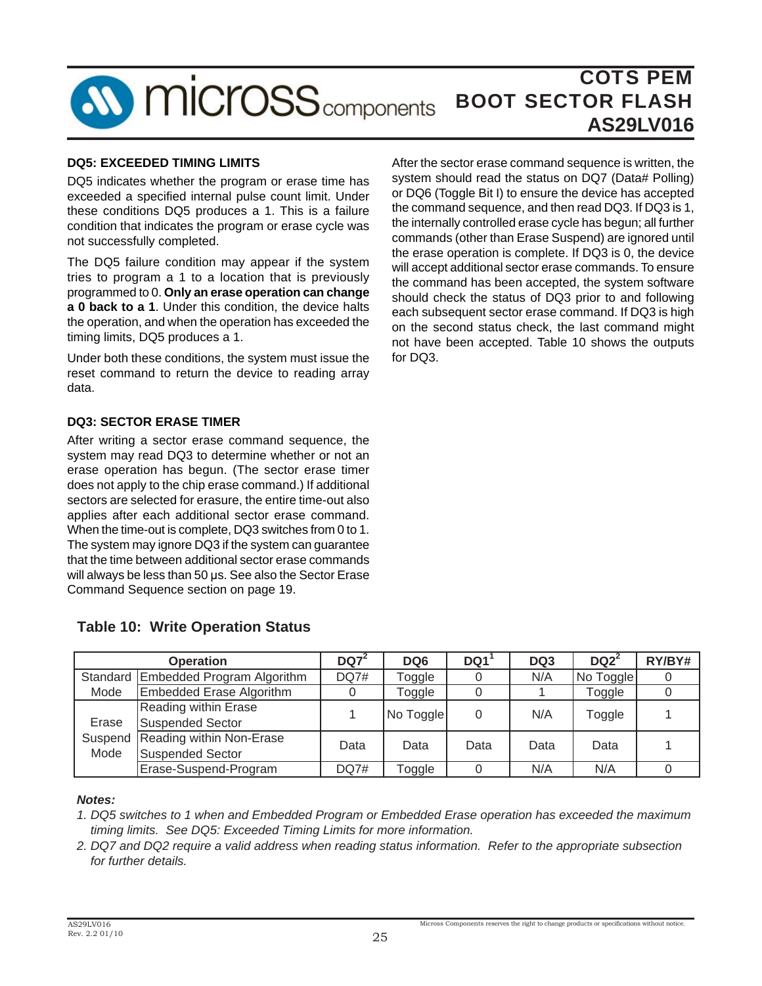

### **DQ5: EXCEEDED TIMING LIMITS**

DQ5 indicates whether the program or erase time has exceeded a specified internal pulse count limit. Under these conditions DQ5 produces a 1. This is a failure condition that indicates the program or erase cycle was not successfully completed.

The DQ5 failure condition may appear if the system tries to program a 1 to a location that is previously programmed to 0. **Only an erase operation can change a 0 back to a 1**. Under this condition, the device halts the operation, and when the operation has exceeded the timing limits, DQ5 produces a 1.

Under both these conditions, the system must issue the reset command to return the device to reading array data.

#### **DQ3: SECTOR ERASE TIMER**

After writing a sector erase command sequence, the system may read DQ3 to determine whether or not an erase operation has begun. (The sector erase timer does not apply to the chip erase command.) If additional sectors are selected for erasure, the entire time-out also applies after each additional sector erase command. When the time-out is complete, DQ3 switches from 0 to 1. The system may ignore DQ3 if the system can guarantee that the time between additional sector erase commands will always be less than 50 μs. See also the Sector Erase Command Sequence section on page 19.

After the sector erase command sequence is written, the system should read the status on DQ7 (Data# Polling) or DQ6 (Toggle Bit I) to ensure the device has accepted the command sequence, and then read DQ3. If DQ3 is 1, the internally controlled erase cycle has begun; all further commands (other than Erase Suspend) are ignored until the erase operation is complete. If DQ3 is 0, the device will accept additional sector erase commands. To ensure the command has been accepted, the system software should check the status of DQ3 prior to and following each subsequent sector erase command. If DQ3 is high on the second status check, the last command might not have been accepted. Table 10 shows the outputs for DQ3.

|       | <b>Operation</b>                                            | $DQ7^2$     | DQ <sub>6</sub> | DQ1  | DQ3  | $DQ2^2$   | RY/BY# |
|-------|-------------------------------------------------------------|-------------|-----------------|------|------|-----------|--------|
|       | Standard Embedded Program Algorithm                         | <b>DQ7#</b> | Toggle          |      | N/A  | No Toggle |        |
| Mode  | Embedded Erase Algorithm                                    |             | Toggle          |      |      | Toggle    |        |
| Erase | Reading within Erase<br><b>Suspended Sector</b>             |             | No Toggle       | 0    | N/A  | Toggle    |        |
| Mode  | Suspend Reading within Non-Erase<br><b>Suspended Sector</b> | Data        | Data            | Data | Data | Data      |        |
|       | Erase-Suspend-Program                                       | DQ7#        | Toggle          |      | N/A  | N/A       |        |

### **Table 10: Write Operation Status**

#### *Notes:*

*1. DQ5 switches to 1 when and Embedded Program or Embedded Erase operation has exceeded the maximum timing limits. See DQ5: Exceeded Timing Limits for more information.*

*2. DQ7 and DQ2 require a valid address when reading status information. Refer to the appropriate subsection for further details.*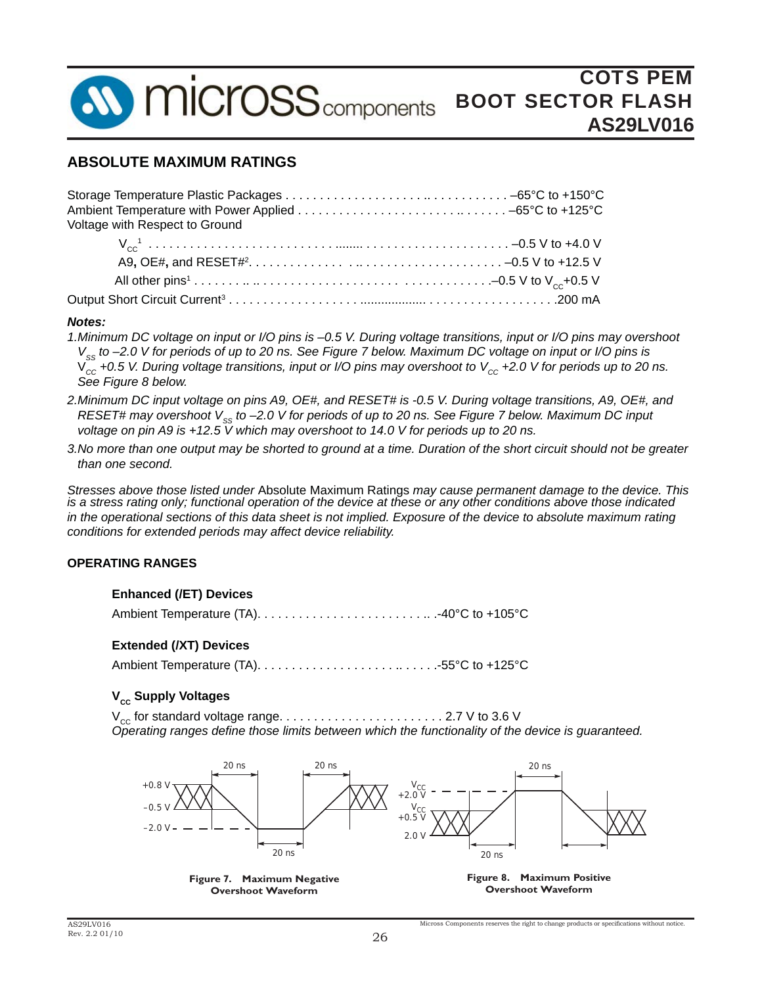

### **ABSOLUTE MAXIMUM RATINGS**

| Voltage with Respect to Ground |  |
|--------------------------------|--|
|                                |  |
|                                |  |
|                                |  |
|                                |  |

#### *Notes:*

- *1.Minimum DC voltage on input or I/O pins is –0.5 V. During voltage transitions, input or I/O pins may overshoot V<sub>ss</sub> to –2.0 V for periods of up to 20 ns. See Figure 7 below. Maximum DC voltage on input or I/O pins is*  $V_{cc}$  +0.5 V. During voltage transitions, input or I/O pins may overshoot to V<sub>cc</sub> +2.0 V for periods up to 20 ns.  *See Figure 8 below.*
- *2.Minimum DC input voltage on pins A9, OE#, and RESET# is -0.5 V. During voltage transitions, A9, OE#, and RESET# may overshoot V<sub>ss</sub> to –2.0 V for periods of up to 20 ns. See Figure 7 below. Maximum DC input voltage on pin A9 is +12.5 V which may overshoot to 14.0 V for periods up to 20 ns.*
- *3.No more than one output may be shorted to ground at a time. Duration of the short circuit should not be greater than one second.*

*Stresses above those listed under* Absolute Maximum Ratings *may cause permanent damage to the device. This is a stress rating only; functional operation of the device at these or any other conditions above those indicated in the operational sections of this data sheet is not implied. Exposure of the device to absolute maximum rating conditions for extended periods may affect device reliability.*

#### **OPERATING RANGES**

#### **Enhanced (/ET) Devices**

Ambient Temperature (TA). . . . . . . . . . . . . . . . . . . . . . . . .. .-40°C to +105°C

#### **Extended (/XT) Devices**

Ambient Temperature (TA). . . . . . . . . . . . . . . . . . . . .. . . . . .-55°C to +125°C

#### **V<sub>cc</sub> Supply Voltages**

 $V_{cc}$  for standard voltage range.  $\ldots \ldots \ldots \ldots \ldots \ldots \ldots \ldots$  . 2.7 V to 3.6 V *Operating ranges defi ne those limits between which the functionality of the device is guaranteed.* 

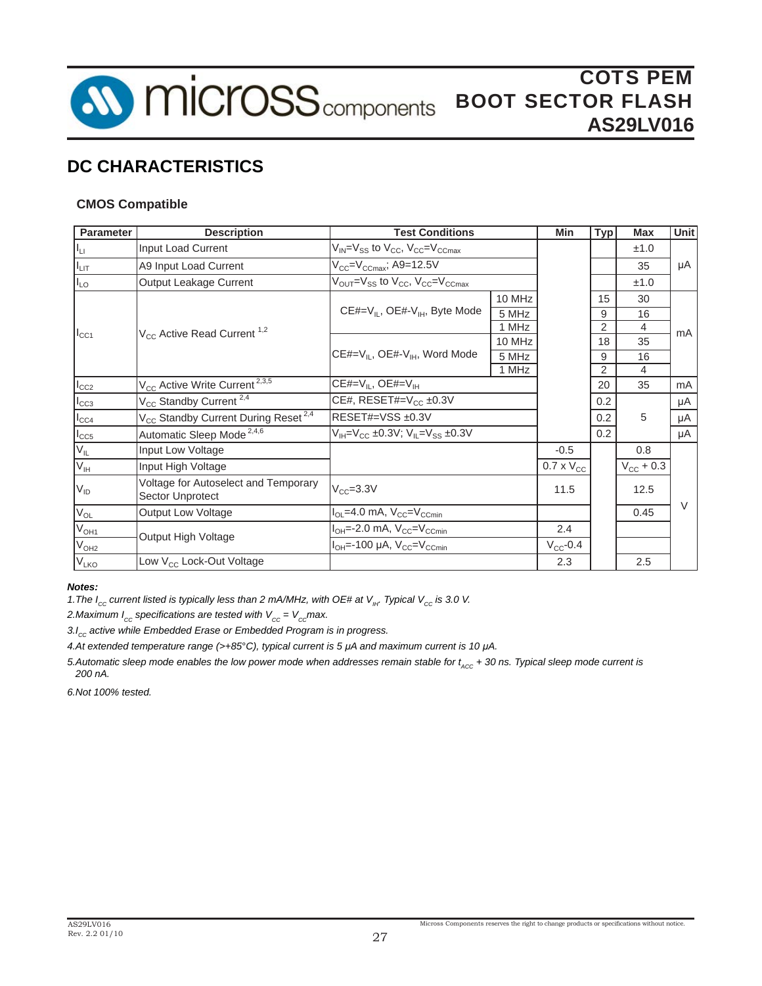

### **CMOS Compatible**

| <b>Parameter</b> | <b>Description</b>                                          | <b>Test Conditions</b>                                                               |        | Min                 | Typ | Max                   | Unit   |
|------------------|-------------------------------------------------------------|--------------------------------------------------------------------------------------|--------|---------------------|-----|-----------------------|--------|
| $I_{LI}$         | Input Load Current                                          | $V_{IN} = V_{SS}$ to $V_{CC}$ , $V_{CC} = V_{CCmax}$                                 |        |                     |     | ±1.0                  |        |
| I <sub>LIT</sub> | A9 Input Load Current                                       | $V_{CC} = V_{CCmax}$ ; A9=12.5V                                                      |        |                     |     | 35                    | μA     |
| $I_{LO}$         | Output Leakage Current                                      | $V_{\text{OUT}}=V_{\text{SS}}$ to $V_{\text{CC}}$ , $V_{\text{CC}}=V_{\text{CCmax}}$ |        |                     |     | ±1.0                  |        |
|                  |                                                             |                                                                                      | 10 MHz |                     | 15  | 30                    |        |
|                  |                                                             | CE#= $V_{IL}$ , OE#- $V_{IH}$ , Byte Mode                                            | 5 MHz  |                     | 9   | 16                    |        |
| $I_{CC1}$        | V <sub>CC</sub> Active Read Current <sup>1,2</sup>          | 1 MHz                                                                                |        |                     | 2   | 4                     | mA     |
|                  |                                                             |                                                                                      | 10 MHz |                     | 18  | 35                    |        |
|                  |                                                             | CE#=V <sub>IL</sub> , OE#-V <sub>IH</sub> , Word Mode                                | 5 MHz  |                     | 9   | 16                    |        |
|                  |                                                             | 1 MHz                                                                                |        |                     | 2   | 4                     |        |
| $I_{CC2}$        | V <sub>CC</sub> Active Write Current <sup>2,3,5</sup>       | CE#= $V_{IL}$ , OE#= $V_{IH}$                                                        |        |                     | 20  | 35                    | mA     |
| $I_{CC3}$        | $V_{CC}$ Standby Current <sup>2,4</sup>                     | CE#, RESET#= $V_{CC}$ ±0.3V                                                          |        |                     | 0.2 |                       | μA     |
| $I_{CC4}$        | V <sub>CC</sub> Standby Current During Reset <sup>2,4</sup> | RESET#=VSS ±0.3V                                                                     |        |                     | 0.2 | 5                     | μA     |
| $I_{CC5}$        | Automatic Sleep Mode <sup>2,4,6</sup>                       | $V_{\text{H}}=V_{\text{CC}}$ ±0.3V; $V_{\text{H}}=V_{\text{SS}}$ ±0.3V               |        |                     | 0.2 |                       | μA     |
| V <sub>IL</sub>  | Input Low Voltage                                           |                                                                                      |        | $-0.5$              |     | 0.8                   |        |
| $V_{\text{IH}}$  | Input High Voltage                                          |                                                                                      |        | $0.7 \times V_{CC}$ |     | $V_{\text{CC}} + 0.3$ |        |
| $V_{ID}$         | Voltage for Autoselect and Temporary<br>Sector Unprotect    | $V_{CC} = 3.3V$                                                                      |        | 11.5                |     | 12.5                  |        |
| $V_{OL}$         | <b>Output Low Voltage</b>                                   | $I_{OL}$ =4.0 mA, $V_{CC}$ = $V_{C_{C}}$                                             |        |                     |     | 0.45                  | $\vee$ |
| $V_{OH1}$        |                                                             | $I_{OH} = -2.0$ mA, $V_{CC} = V_{C C min}$                                           |        | 2.4                 |     |                       |        |
| V <sub>OH2</sub> | Output High Voltage                                         | $I_{OH}$ =-100 µA, $V_{CC}$ = $V_{C_{C}}$ <sub>min</sub>                             |        | $V_{CC}$ -0.4       |     |                       |        |
| V <sub>LKO</sub> | Low V <sub>CC</sub> Lock-Out Voltage                        |                                                                                      |        | 2.3                 |     | 2.5                   |        |

#### *Notes:*

*1. The I<sub>cc</sub> current listed is typically less than 2 mA/MHz, with OE# at V<sub>IH</sub>. Typical V<sub>cc</sub> is 3.0 V.* 

2.Maximum  $I_{cc}$  specifications are tested with  $V_{cc} = V_{cc}$  max.

3.I<sub>cc</sub> active while Embedded Erase or Embedded Program is in progress.

*4.At extended temperature range (>+85*°*C), typical current is 5 μA and maximum current is 10 μA.*

*5.Automatic sleep mode enables the low power mode when addresses remain stable for t<sub>ACC</sub> + 30 ns. Typical sleep mode current is 200 nA.*

*6.Not 100% tested.*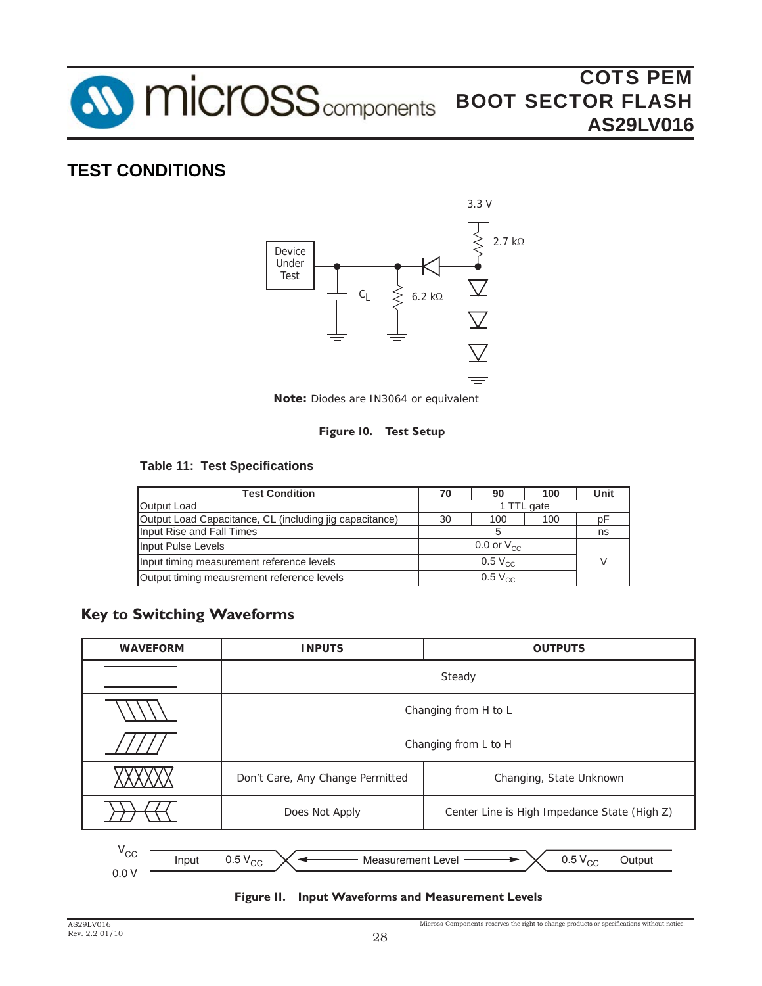

# **TEST CONDITIONS**



*Note: Diodes are IN3064 or equivalent*

### **Figure 10. Test Setup**

### **Table 11: Test Specifications**

| <b>Test Condition</b>                                   | 70 | 90                  | 100 | Unit |
|---------------------------------------------------------|----|---------------------|-----|------|
| Output Load                                             |    |                     |     |      |
| Output Load Capacitance, CL (including jig capacitance) | 30 | 100                 | 100 |      |
| Input Rise and Fall Times                               |    | ns                  |     |      |
| Input Pulse Levels                                      |    | 0.0 or $V_{\rm cc}$ |     |      |
| Input timing measurement reference levels               |    |                     |     |      |
| Output timing meausrement reference levels              |    | $0.5 V_{CC}$        |     |      |

## **Key to Switching Waveforms**

| <b>WAVEFORM</b>                                                                                           | <b>INPUTS</b>                    | <b>OUTPUTS</b>                               |  |  |  |  |  |  |  |
|-----------------------------------------------------------------------------------------------------------|----------------------------------|----------------------------------------------|--|--|--|--|--|--|--|
|                                                                                                           |                                  | Steady                                       |  |  |  |  |  |  |  |
|                                                                                                           |                                  | Changing from H to L                         |  |  |  |  |  |  |  |
|                                                                                                           |                                  | Changing from L to H                         |  |  |  |  |  |  |  |
|                                                                                                           | Don't Care, Any Change Permitted | Changing, State Unknown                      |  |  |  |  |  |  |  |
|                                                                                                           | Does Not Apply                   | Center Line is High Impedance State (High Z) |  |  |  |  |  |  |  |
| $V_{CC}$<br>$0.5\,V_{\rm CC}$<br>$0.5\,V_{\rm CC}$<br><b>Measurement Level</b><br>Input<br>Output<br>0.0V |                                  |                                              |  |  |  |  |  |  |  |

#### **Figure 11. Input Waveforms and Measurement Levels**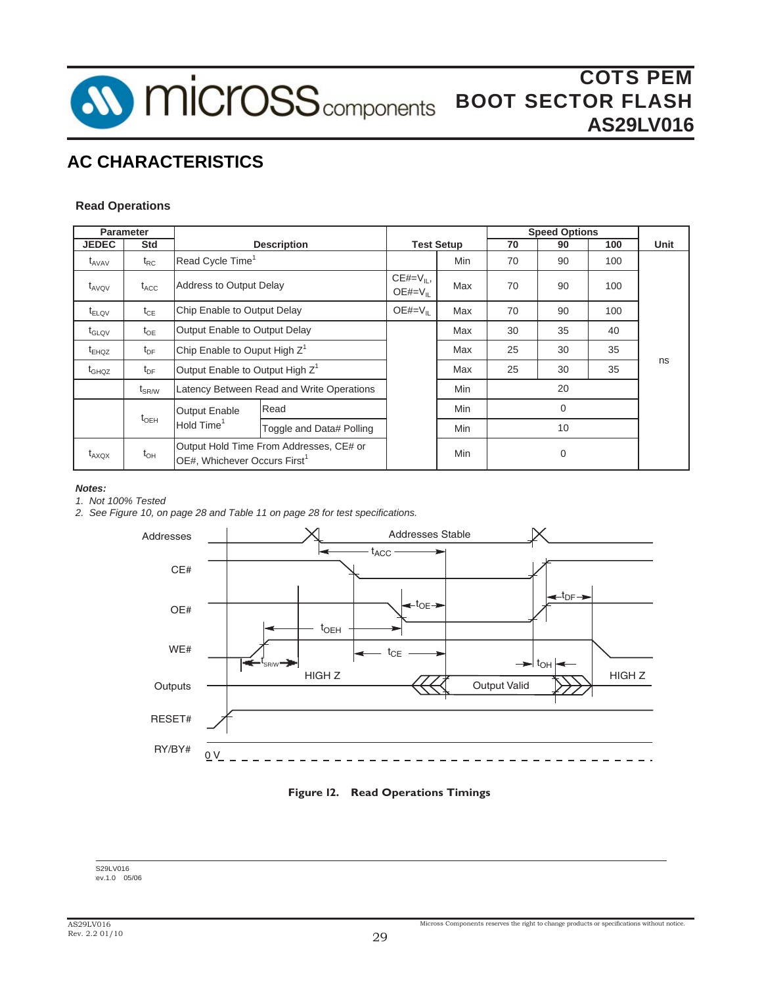

#### **Read Operations**

|                        | <b>Parameter</b>             |                                                    |                                           |                              |                   |    | <b>Speed Options</b> |          |      |  |
|------------------------|------------------------------|----------------------------------------------------|-------------------------------------------|------------------------------|-------------------|----|----------------------|----------|------|--|
| <b>JEDEC</b>           | Std                          |                                                    | <b>Description</b>                        |                              | <b>Test Setup</b> | 70 | 90                   | 100      | Unit |  |
| $\tau$ <sub>AVAV</sub> | $t_{RC}$                     | Read Cycle Time <sup>1</sup>                       |                                           |                              | Min               | 70 | 90                   | 100      |      |  |
| $\tau_{AVQV}$          | $t_{\text{ACC}}$             | <b>Address to Output Delay</b>                     |                                           | $CE#=V_{IL}$<br>$OE#=V_{IL}$ | Max               | 70 | 90                   | 100      |      |  |
| $t_{ELOV}$             | $t_{CE}$                     | Chip Enable to Output Delay                        |                                           | $OE#=V_{IL}$                 | Max               | 70 | 90                   | 100      |      |  |
| $t_{\text{GLQV}}$      | $t_{OE}$                     | Output Enable to Output Delay                      |                                           | Max                          | 30                | 35 | 40                   |          |      |  |
| $t_{EHOZ}$             | $t_{DF}$                     | Chip Enable to Ouput High Z <sup>1</sup>           |                                           | Max                          | 25                | 30 | 35                   |          |      |  |
| $t_{GHOZ}$             | $t_{DF}$                     | Output Enable to Output High Z <sup>1</sup>        |                                           |                              | Max               | 25 | 30                   | 35       | ns   |  |
|                        | $\mathsf{t}_{\mathsf{SR/W}}$ |                                                    | Latency Between Read and Write Operations |                              | Min               |    | 20                   |          |      |  |
|                        | $t_{\text{OEH}}$             | <b>Output Enable</b>                               |                                           | Read                         | Min               |    |                      | $\Omega$ |      |  |
|                        |                              | Hold Time <sup>1</sup><br>Toggle and Data# Polling |                                           |                              | Min               |    | 10                   |          |      |  |
| $t_{AXOX}$             | $t_{OH}$                     | OE#, Whichever Occurs First <sup>1</sup>           | Output Hold Time From Addresses, CE# or   |                              | Min               |    | $\mathbf 0$          |          |      |  |

#### *Notes:*

*1. Not 100% Tested*

*2. See Figure 10, on page 28 and Table 11 on page 28 for test specifications.*





S29LV016 ev.1.0 05/06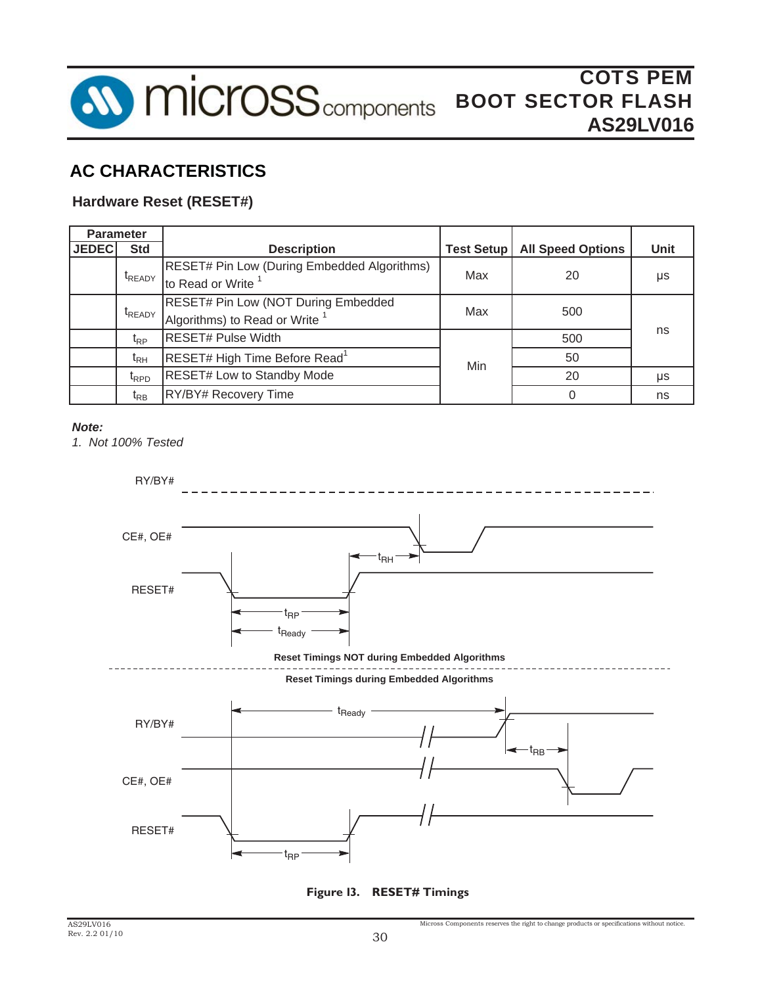

### **Hardware Reset (RESET#)**

| <b>Parameter</b> |                              |                                                                                     |                   |                          |             |  |
|------------------|------------------------------|-------------------------------------------------------------------------------------|-------------------|--------------------------|-------------|--|
| <b>JEDEC</b>     | <b>Std</b>                   | <b>Description</b>                                                                  | <b>Test Setup</b> | <b>All Speed Options</b> | <b>Unit</b> |  |
|                  | <sup>t</sup> READY           | <b>RESET# Pin Low (During Embedded Algorithms)</b><br>to Read or Write <sup>1</sup> | Max               | 20                       | μs          |  |
|                  | t <sub>READY</sub>           | RESET# Pin Low (NOT During Embedded<br>Algorithms) to Read or Write                 | Max               | 500                      |             |  |
|                  | $t_{\mathsf{RP}}$            | <b>RESET# Pulse Width</b>                                                           |                   | 500                      | ns          |  |
|                  | $\mathfrak{r}_{\mathsf{RH}}$ | RESET# High Time Before Read <sup>1</sup>                                           | Min               | 50                       |             |  |
|                  | $t_{\text{RPD}}$             | <b>RESET# Low to Standby Mode</b>                                                   |                   | 20                       | μs          |  |
|                  | $\mathfrak{r}_{\mathsf{RB}}$ | RY/BY# Recovery Time                                                                |                   | $\Omega$                 | ns          |  |

#### *Note:*

*1. Not 100% Tested*



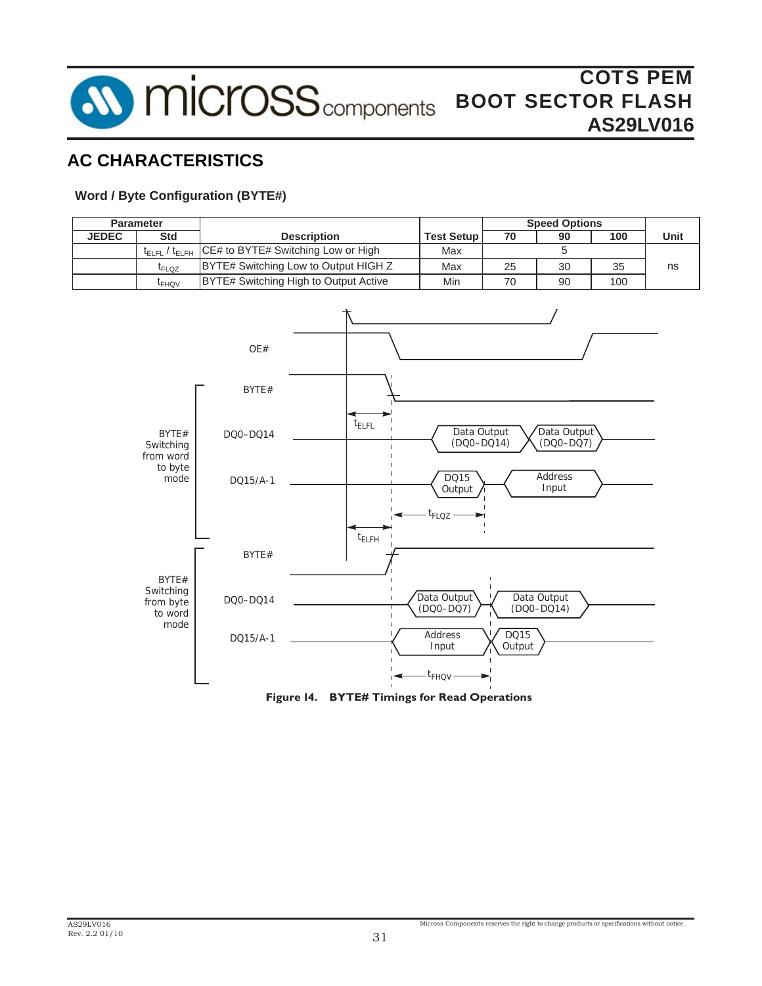

### **Word / Byte Configuration (BYTE#)**

| Parameter    |                                                                 |                                      |                                       |                                                              |                 | <b>Speed Options</b>                           |     |      |
|--------------|-----------------------------------------------------------------|--------------------------------------|---------------------------------------|--------------------------------------------------------------|-----------------|------------------------------------------------|-----|------|
| <b>JEDEC</b> | <b>Std</b>                                                      |                                      | <b>Description</b>                    | <b>Test Setup</b>                                            | $\overline{70}$ | 90                                             | 100 | Unit |
|              | $t_{\scriptstyle \text{ELFL}}$ / $t_{\scriptstyle \text{ELFH}}$ |                                      | CE# to BYTE# Switching Low or High    | Max                                                          |                 | 5                                              |     |      |
|              | $t_{\text{FLQZ}}$                                               |                                      | BYTE# Switching Low to Output HIGH Z  | Max                                                          | 25              | 30                                             | 35  | ns   |
|              | $t_{FHQV}$                                                      |                                      | BYTE# Switching High to Output Active | Min                                                          | 70              | 90                                             | 100 |      |
|              | BYTE#<br>Switching<br>from word<br>to byte<br>mode              | OE#<br>BYTE#<br>DQ0-DQ14<br>DQ15/A-1 | $t_{ELFL}$<br>$t_{ELFH}$              | Data Output<br>$(DQO-DQ14)$<br>DQ15<br>Output<br>$t_{FLOZ}$  |                 | Data Output<br>$(DQO-DQ7)$<br>Address<br>Input |     |      |
|              | BYTE#<br>Switching<br>from byte<br>to word<br>mode              | BYTE#<br>DQ0-DQ14<br>DQ15/A-1        |                                       | Data Output<br>$(DQO-DQ7)$<br>Address<br>Input<br>$t_{FHOV}$ | DQ15<br>Output  | Data Output<br>$(DQ0-DQ14)$                    |     |      |

**Figure 14. BYTE# Timings for Read Operations**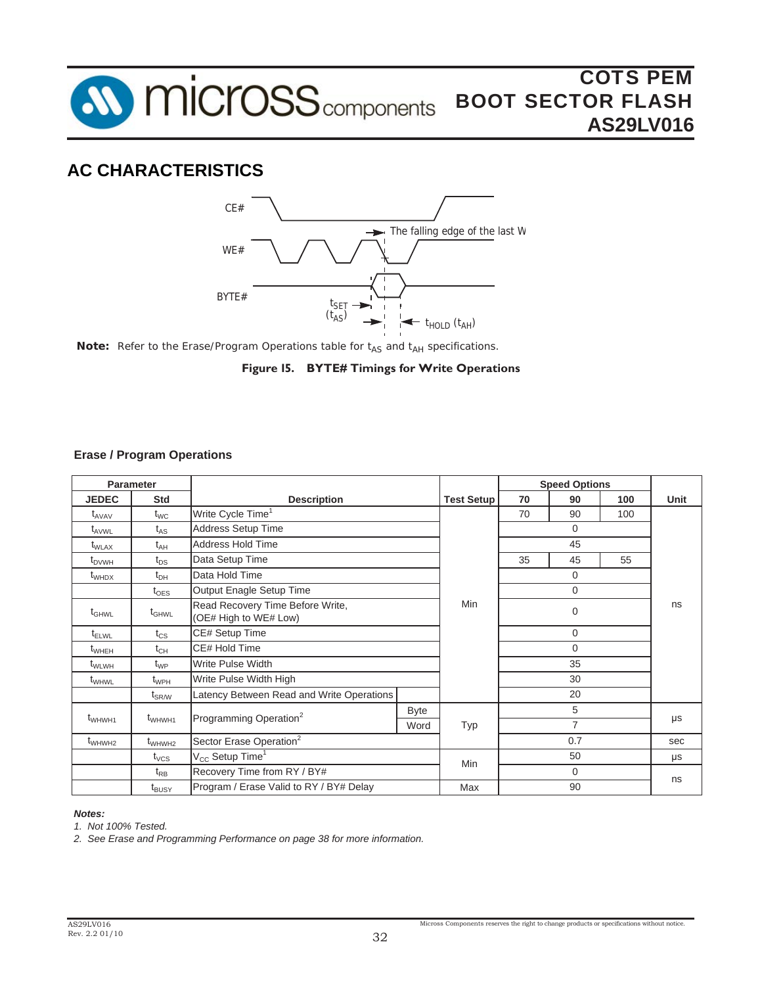



*Note:* Refer to the Erase/Program Operations table for t<sub>AS</sub> and t<sub>AH</sub> specifications.



#### **Erase / Program Operations**

|                    | <b>Parameter</b>             |                                                           |      |                   |          | <b>Speed Options</b> |         |      |
|--------------------|------------------------------|-----------------------------------------------------------|------|-------------------|----------|----------------------|---------|------|
| <b>JEDEC</b>       | <b>Std</b>                   | <b>Description</b>                                        |      | <b>Test Setup</b> | 70       | 90                   | 100     | Unit |
| $t_{AVAV}$         | $t_{WC}$                     | Write Cycle Time <sup>1</sup>                             |      |                   | 70       | 90                   | 100     |      |
| $t_{AVWL}$         | $t_{AS}$                     | <b>Address Setup Time</b>                                 |      |                   | 0        |                      |         |      |
| $t_{\text{WLAX}}$  | $t_{AH}$                     | Address Hold Time                                         |      |                   | 45       |                      |         |      |
| $t_{\text{DVMH}}$  | $t_{DS}$                     | Data Setup Time                                           |      | 35                | 45       | 55                   |         |      |
| $t_{WHDX}$         | $t_{\text{DH}}$              | Data Hold Time                                            |      |                   |          | $\Omega$             |         |      |
|                    | $t_{\text{OES}}$             | Output Enagle Setup Time                                  |      |                   |          | 0                    |         |      |
| $t_{GHWL}$         | $t_{GHWL}$                   | Read Recovery Time Before Write,<br>(OE# High to WE# Low) | Min  | 0                 |          |                      | ns      |      |
| $t_{ELWL}$         | $t_{\rm CS}$                 | CE# Setup Time                                            |      |                   | 0        |                      |         |      |
| $t_{\text{WHEH}}$  | $t_{CH}$                     | CE# Hold Time                                             |      |                   |          | $\Omega$             |         |      |
| t <sub>WLWH</sub>  | $t_{WP}$                     | <b>Write Pulse Width</b>                                  |      |                   | 35       |                      |         |      |
| t <sub>WHWL</sub>  | $t_{WPH}$                    | Write Pulse Width High                                    |      |                   | 30       |                      |         |      |
|                    | $\mathfrak{t}_{\text{SR/W}}$ | Latency Between Read and Write Operations                 |      |                   | 20       |                      |         |      |
|                    |                              |                                                           | Byte |                   |          |                      |         |      |
| t <sub>WHWH1</sub> | t <sub>WHWH1</sub>           | Programming Operation <sup>2</sup>                        | Word | Typ               |          | $\mu s$              |         |      |
| t <sub>WHWH2</sub> | $t_{WHWH2}$                  | Sector Erase Operation <sup>2</sup>                       |      |                   | 0.7      |                      | sec     |      |
|                    | $t_{\rm VCS}$                | $\rm V_{CC}$ Setup Time $^1$                              |      | <b>Min</b>        | 50       |                      | $\mu s$ |      |
|                    | $t_{RB}$                     | Recovery Time from RY / BY#                               |      |                   | $\Omega$ |                      |         |      |
|                    | t <sub>BUSY</sub>            | Program / Erase Valid to RY / BY# Delay                   |      | Max               |          | 90                   |         | ns   |

#### *Notes:*

*1. Not 100% Tested.*

*2. See Erase and Programming Performance on page 38 for more information.*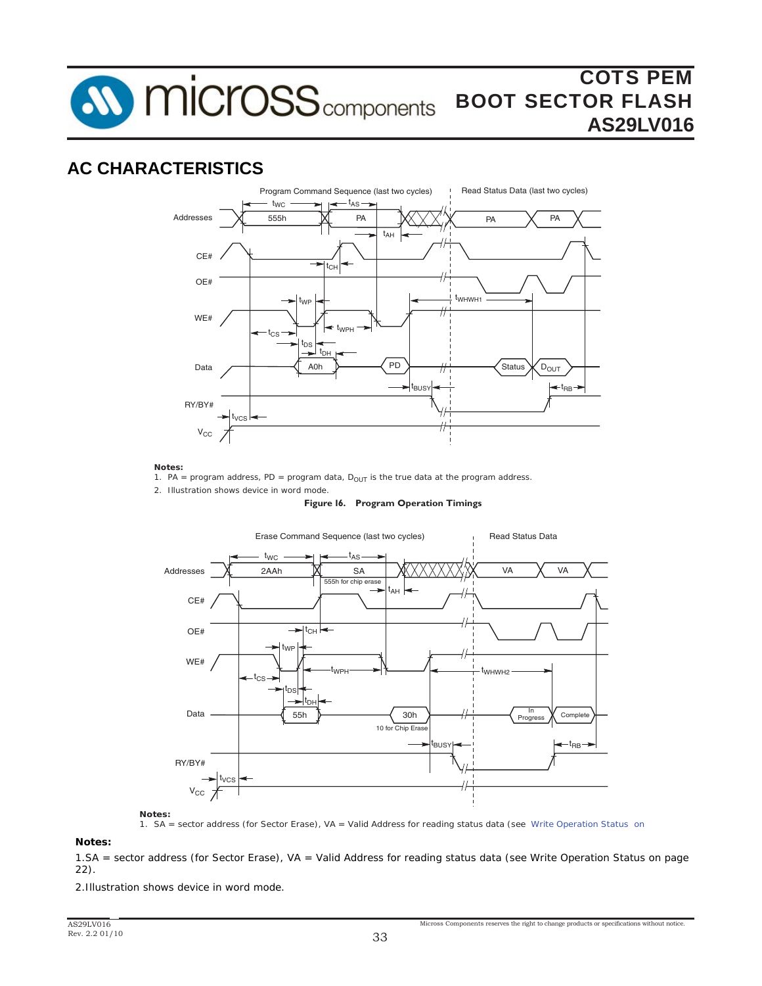**SV MICroSS** components

## **AC CHARACTERISTICS**



*Notes:*

*1. PA = program address, PD = program data, D<sub>OUT</sub> is the true data at the program address.* 

*2. Illustration shows device in word mode.*

#### **Figure 16. Program Operation Timings**



*Notes:*

*1. SA = sector address (for Sector Erase), VA = Valid Address for reading status data (see Write Operation Status on* 

*Notes:*

*2. Illustration shows device in word mode. 1.SA = sector address (for Sector Erase), VA = Valid Address for reading status data (see Write Operation Status on page 22).*

*2.Illustration shows device in word mode.*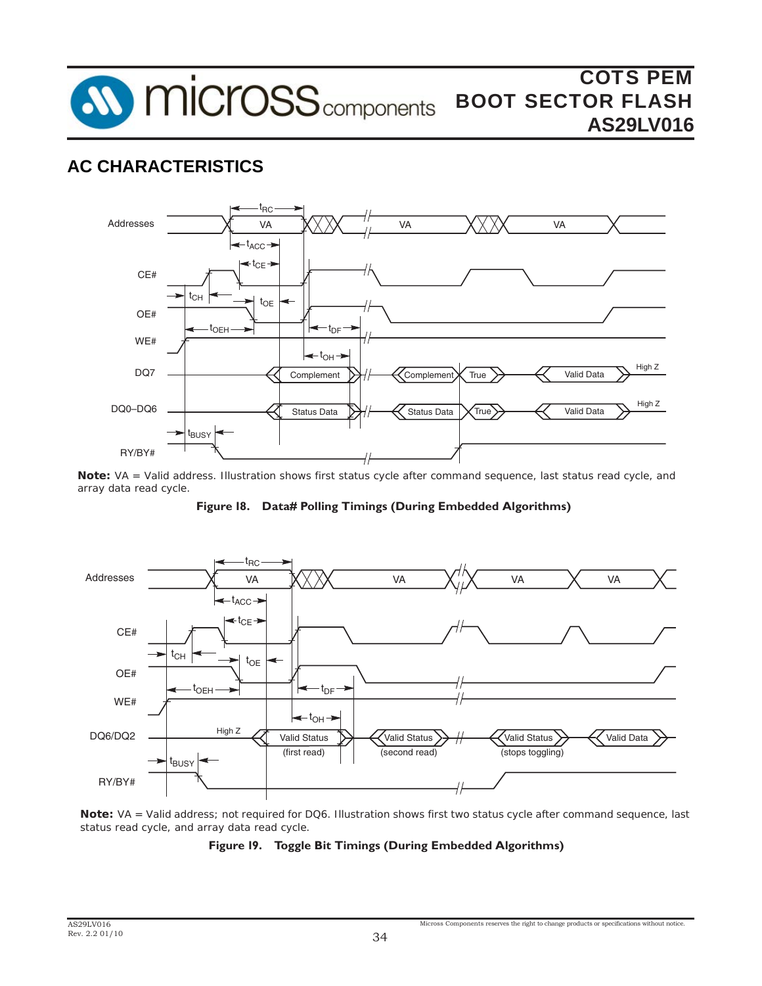



*Note: VA = Valid address. Illustration shows first status cycle after command sequence, last status read cycle, and array data read cycle.*

**Figure 18. Data# Polling Timings (During Embedded Algorithms)**



*Note: VA = Valid address; not required for DQ6. Illustration shows first two status cycle after command sequence, last status read cycle, and array data read cycle.*

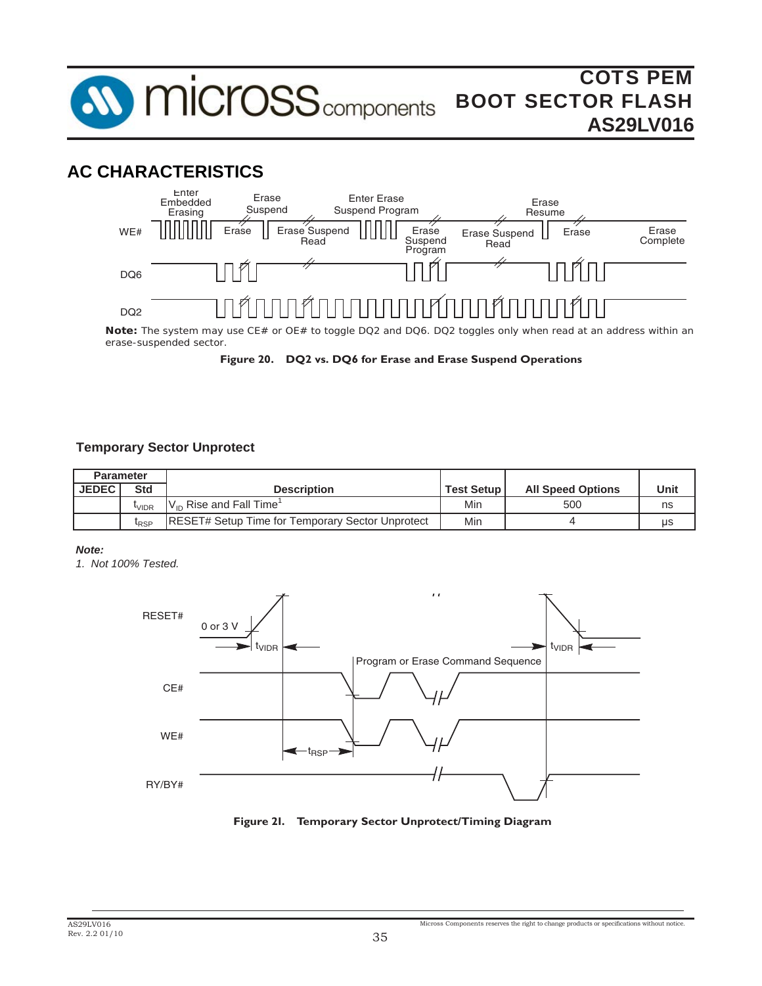

## **AC CHARACTERISTICS**



*erase-suspended sector.* 

**Figure 20. DQ2 vs. DQ6 for Erase and Erase Suspend Operations**

### **Temporary Sector Unprotect**

| <b>Parameter</b> |                   |                                                          |                   |                          |      |
|------------------|-------------------|----------------------------------------------------------|-------------------|--------------------------|------|
| <b>JEDEC</b>     | Std               | <b>Description</b>                                       | <b>Test Setup</b> | <b>All Speed Options</b> | Unit |
|                  | <sup>l</sup> vidr | $V_{\text{in}}$ Rise and Fall Time <sup>1</sup>          | Min               | 500                      | ns   |
|                  | <sup>L</sup> RSP  | <b>IRESET# Setup Time for Temporary Sector Unprotect</b> | Min               |                          | μs   |

#### *Note:*

*1. Not 100% Tested.*



**Figure 21. Temporary Sector Unprotect/Timing Diagram**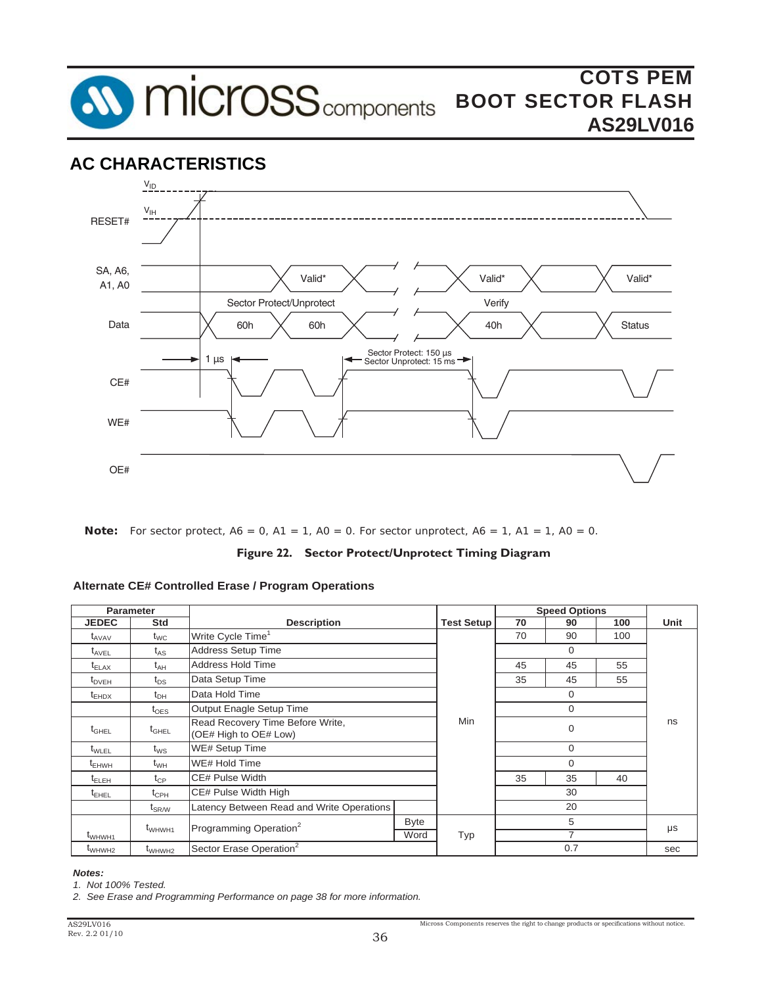



*Note: For sector protect, A6 = 0, A1 = 1, A0 = 0. For sector unprotect, A6 = 1, A1 = 1, A0 = 0.*

**Figure 22. Sector Protect/Unprotect Timing Diagram**

#### **Alternate CE# Controlled Erase / Program Operations**

| <b>Parameter</b>   |                              |                                                           |             |                   | <b>Speed Options</b> |                |     |         |
|--------------------|------------------------------|-----------------------------------------------------------|-------------|-------------------|----------------------|----------------|-----|---------|
| <b>JEDEC</b>       | <b>Std</b>                   | <b>Description</b>                                        |             | <b>Test Setup</b> | 70                   | 90             | 100 | Unit    |
| $t_{AVAV}$         | $t_{WC}$                     | Write Cycle Time <sup>1</sup>                             |             |                   | 70                   | 90             | 100 |         |
| $t_{\text{AVEL}}$  | $t_{AS}$                     | Address Setup Time                                        |             |                   | $\mathbf 0$          |                |     |         |
| $t_{\text{ELAX}}$  | $t_{AH}$                     | Address Hold Time                                         |             |                   | 45                   | 45             | 55  |         |
| $t_{DVEH}$         | $t_{DS}$                     | Data Setup Time                                           |             |                   | 35                   | 45             | 55  |         |
| $t_{EHDX}$         | $t_{\text{DH}}$              | Data Hold Time                                            |             |                   | $\mathbf 0$          |                |     | ns      |
|                    | $t_{\text{OES}}$             | Output Enagle Setup Time                                  |             |                   | $\Omega$             |                |     |         |
| $t_{\text{GHEL}}$  | $t_{\text{GHEL}}$            | Read Recovery Time Before Write,<br>(OE# High to OE# Low) |             | <b>Min</b>        | $\mathbf 0$          |                |     |         |
| $t_{WLEL}$         | $t_{WS}$                     | <b>WE# Setup Time</b>                                     |             |                   | $\mathbf 0$          |                |     |         |
| $t_{EHWH}$         | $t_{WH}$                     | WE# Hold Time                                             |             |                   | $\Omega$             |                |     |         |
| $t_{\sf ELEH}$     | $t_{\mathsf{CP}}$            | <b>CE# Pulse Width</b>                                    |             |                   | 35                   | 35             | 40  |         |
| $t_{EHEL}$         | $t_{\mathsf{CPH}}$           | CE# Pulse Width High                                      |             |                   | 30                   |                |     |         |
|                    | $\mathsf{t}_{\mathsf{SR/W}}$ | Latency Between Read and Write Operations                 |             |                   | 20                   |                |     |         |
|                    | t <sub>WHWH1</sub>           | Programming Operation <sup>2</sup>                        | <b>Byte</b> |                   | 5                    |                |     | $\mu s$ |
| t <sub>WHWH1</sub> |                              |                                                           | Word        | Typ               |                      | $\overline{7}$ |     |         |
| t <sub>WHWH2</sub> | $t_{WHWH2}$                  | Sector Erase Operation <sup>2</sup>                       |             |                   |                      | 0.7            |     | sec     |

#### *Notes:*

*1. Not 100% Tested.*

*2. See Erase and Programming Performance on page 38 for more information.*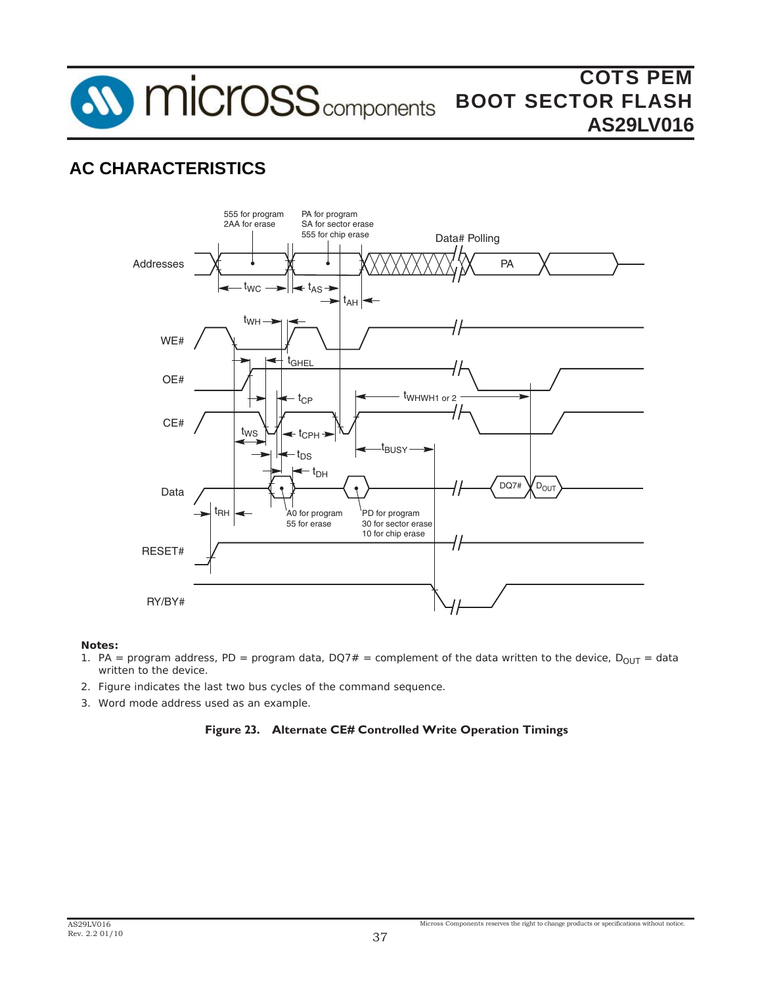**SV MICroSS** components

# **AC CHARACTERISTICS**



*Notes:* 

- 1. PA = program address, PD = program data, DQ7# = complement of the data written to the device,  $D_{OUT}$  = data *written to the device.*
- *2. Figure indicates the last two bus cycles of the command sequence.*
- *3. Word mode address used as an example.*

### **Figure 23. Alternate CE# Controlled Write Operation Timings**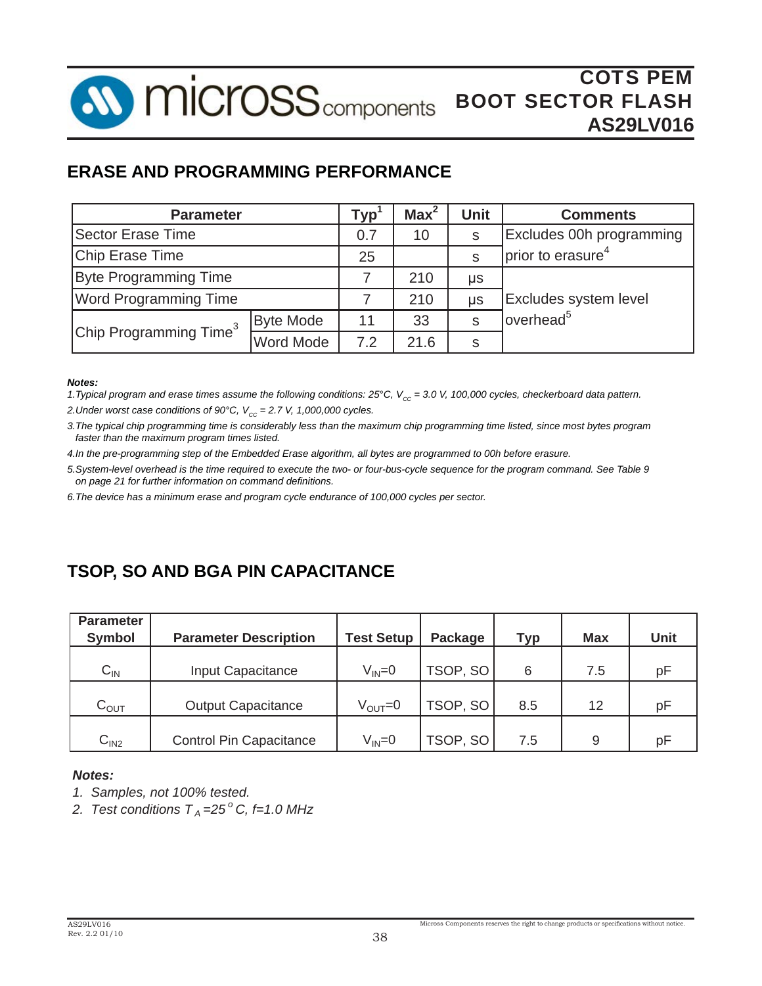**AV MICrOSS** components

## **ERASE AND PROGRAMMING PERFORMANCE**

| <b>Parameter</b>                   | Typ              | Max <sup>2</sup> | <b>Unit</b> | <b>Comments</b>               |                        |
|------------------------------------|------------------|------------------|-------------|-------------------------------|------------------------|
| Sector Erase Time                  | 0.7              | 10               | S           | Excludes 00h programming      |                        |
| Chip Erase Time                    | 25               |                  | S           | prior to erasure <sup>4</sup> |                        |
| <b>Byte Programming Time</b>       |                  | 210              | μs          |                               |                        |
| <b>Word Programming Time</b>       |                  | 210              | μs          | <b>Excludes system level</b>  |                        |
|                                    | <b>Byte Mode</b> | 11               | 33          | S                             | loverhead <sup>5</sup> |
| Chip Programming Time <sup>3</sup> | <b>Word Mode</b> | 7.2              | 21.6        | S                             |                        |

#### *Notes:*

*1.Typical program and erase times assume the following conditions: 25<sup>°</sup>C, V<sub>cc</sub> = 3.0 V, 100,000 cycles, checkerboard data pattern.* 

2. Under worst case conditions of 90°C,  $V_{cc} = 2.7$  V, 1,000,000 cycles.

*3.The typical chip programming time is considerably less than the maximum chip programming time listed, since most bytes program faster than the maximum program times listed.*

*4.In the pre-programming step of the Embedded Erase algorithm, all bytes are programmed to 00h before erasure.*

*5.System-level overhead is the time required to execute the two- or four-bus-cycle sequence for the program command. See Table 9 on page 21 for further information on command defi nitions.*

*6.The device has a minimum erase and program cycle endurance of 100,000 cycles per sector.*

## **TSOP, SO AND BGA PIN CAPACITANCE**

| <b>Parameter</b><br><b>Symbol</b> | <b>Parameter Description</b>   | <b>Test Setup</b> | Package  | <b>Typ</b> | <b>Max</b> | <b>Unit</b> |
|-----------------------------------|--------------------------------|-------------------|----------|------------|------------|-------------|
| $C_{IN}$                          | Input Capacitance              | $V_{IN} = 0$      | TSOP, SO | 6          | 7.5        | pF          |
| $C_{OUT}$                         | <b>Output Capacitance</b>      | $V_{OUT} = 0$     | TSOP, SO | 8.5        | 12         | рF          |
| C <sub>IN2</sub>                  | <b>Control Pin Capacitance</b> | $V_{IN} = 0$      | TSOP, SO | 7.5        | 9          | рF          |

### *Notes:*

- *1. Samples, not 100% tested.*
- 2. Test conditions  $T_A = 25^\circ C$ , f=1.0 MHz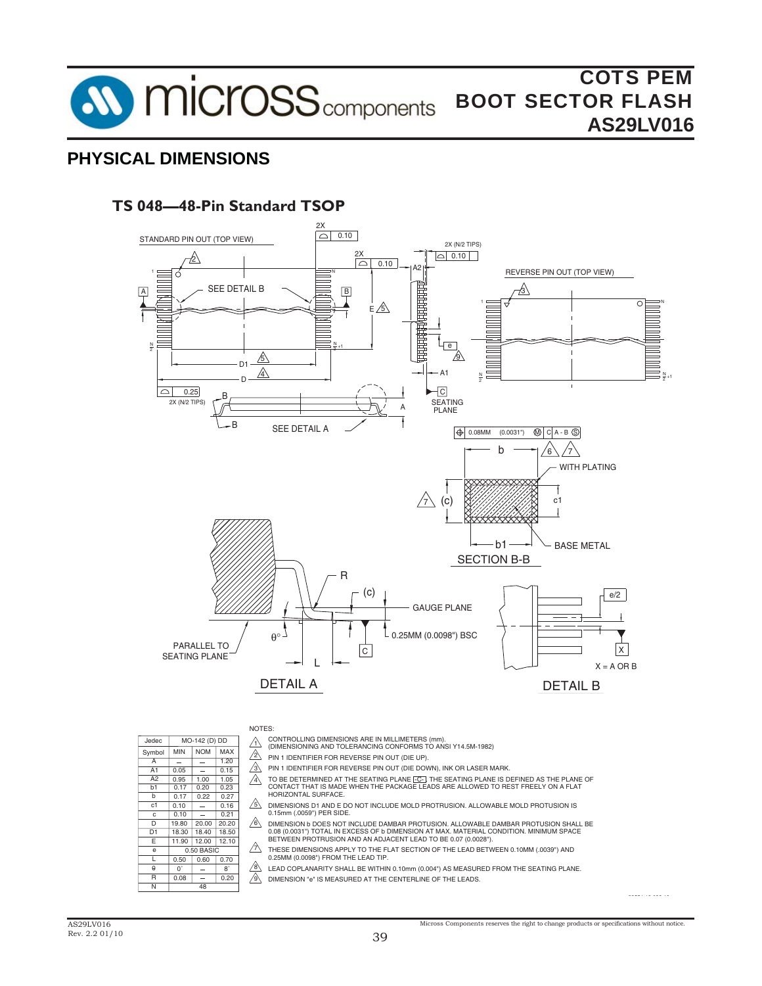

## **PHYSICAL DIMENSIONS**

## **TS 048—48-Pin Standard TSOP**



NOTES:

MO-142 (D) DD

 $NOM$  MAX 0.15  $1.20$ 

> 0.27 0.16 0.21

 $0.23$ 1.05 0.20 1.00 0.22

> 8˚ 0.20

12.10  $0.70$ 

20.20

MIN 0.05 0.95 0.17 0.17 0.10 0.10

 $Symbol$ Jedec

b1 A2 A1 A

b  $\overline{c1}$ c

 $\overline{D}$ 

 $\overline{1}$ e E D<sub>1</sub>

> $\theta$ R N

19.80

11.90  $.50 B<sub>A</sub>$ 

0.50  $0^{\circ}$ 0.08

48

18.30 18.50 18.40

 $0.60$  $12.00$ 

20.00

- $\bigwedge$ CONTROLLING DIMENSIONS ARE IN MILLIMETERS (mm). (DIMENSIONING AND TOLERANCING CONFORMS TO ANSI Y14.5M-1982)
	-
	- $2$  PIN 1 IDENTIFIER FOR REVERSE PIN OUT (DIE UP).
- $\mathbb{A}$ PIN 1 IDENTIFIER FOR REVERSE PIN OUT (DIE DOWN), INK OR LASER MARK.
- $\mathbb{A}$ TO BE DETERMINED AT THE SEATING PLANE <del>[C]</del>. THE SEATING PLANE IS DEFINED AS THE PLANE OF<br>CONTACT THAT IS MADE WHEN THE PACKAGE LEADS ARE ALLOWED TO REST FREELY ON A FLAT HORIZONTAL SURFACE.
- 5 DIMENSIONS D1 AND E DO NOT INCLUDE MOLD PROTRUSION. ALLOWABLE MOLD PROTUSION IS 0.15mm (.0059") PER SIDE.
- $\mathbb{A}$ DIMENSION b DOES NOT INCLUDE DAMBAR PROTUSION. ALLOWABLE DAMBAR PROTUSION SHALL BE 0.08 (0.0031") TOTAL IN EXCESS OF b DIMENSION AT MAX. MATERIAL CONDITION. MINIMUM SPACE BETWEEN PROTRUSION AND AN ADJACENT LEAD TO BE 0.07 (0.0028").
- $/2$ THESE DIMENSIONS APPLY TO THE FLAT SECTION OF THE LEAD BETWEEN 0.10MM (.0039") AND 0.25MM (0.0098") FROM THE LEAD TIP.
- 8 LEAD COPLANARITY SHALL BE WITHIN 0.10mm (0.004") AS MEASURED FROM THE SEATING PLANE.
- $\overline{\mathcal{A}}$ DIMENSION "e" IS MEASURED AT THE CENTERLINE OF THE LEADS.

3355 \ 16 038 10